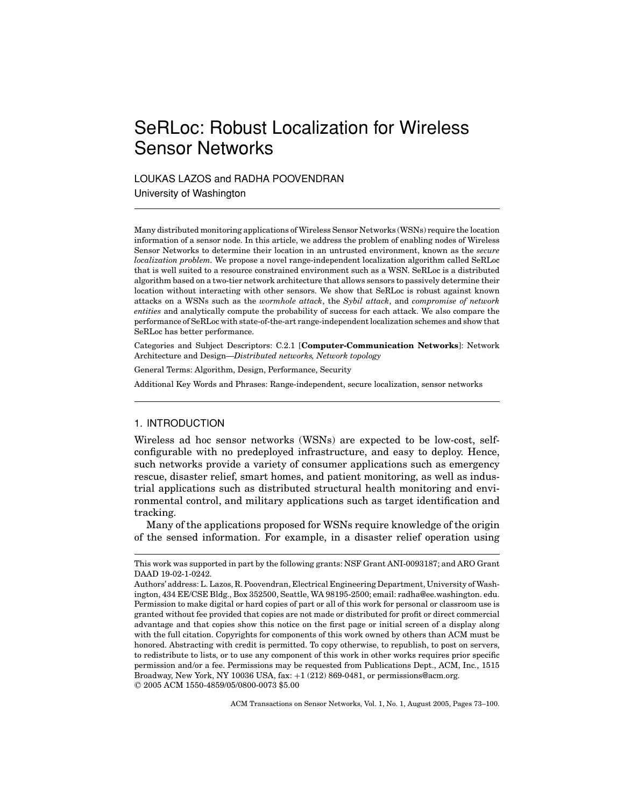# SeRLoc: Robust Localization for Wireless Sensor Networks

# LOUKAS LAZOS and RADHA POOVENDRAN

University of Washington

Many distributed monitoring applications of Wireless Sensor Networks (WSNs) require the location information of a sensor node. In this article, we address the problem of enabling nodes of Wireless Sensor Networks to determine their location in an untrusted environment, known as the *secure localization problem.* We propose a novel range-independent localization algorithm called SeRLoc that is well suited to a resource constrained environment such as a WSN. SeRLoc is a distributed algorithm based on a two-tier network architecture that allows sensors to passively determine their location without interacting with other sensors. We show that SeRLoc is robust against known attacks on a WSNs such as the *wormhole attack*, the *Sybil attack*, and *compromise of network entities* and analytically compute the probability of success for each attack. We also compare the performance of SeRLoc with state-of-the-art range-independent localization schemes and show that SeRLoc has better performance.

Categories and Subject Descriptors: C.2.1 [**Computer-Communication Networks**]: Network Architecture and Design—*Distributed networks, Network topology*

General Terms: Algorithm, Design, Performance, Security

Additional Key Words and Phrases: Range-independent, secure localization, sensor networks

# 1. INTRODUCTION

Wireless ad hoc sensor networks (WSNs) are expected to be low-cost, selfconfigurable with no predeployed infrastructure, and easy to deploy. Hence, such networks provide a variety of consumer applications such as emergency rescue, disaster relief, smart homes, and patient monitoring, as well as industrial applications such as distributed structural health monitoring and environmental control, and military applications such as target identification and tracking.

Many of the applications proposed for WSNs require knowledge of the origin of the sensed information. For example, in a disaster relief operation using

This work was supported in part by the following grants: NSF Grant ANI-0093187; and ARO Grant DAAD 19-02-1-0242.

Authors' address: L. Lazos, R. Poovendran, Electrical Engineering Department, University of Washington, 434 EE/CSE Bldg., Box 352500, Seattle, WA 98195-2500; email: radha@ee.washington. edu. Permission to make digital or hard copies of part or all of this work for personal or classroom use is granted without fee provided that copies are not made or distributed for profit or direct commercial advantage and that copies show this notice on the first page or initial screen of a display along with the full citation. Copyrights for components of this work owned by others than ACM must be honored. Abstracting with credit is permitted. To copy otherwise, to republish, to post on servers, to redistribute to lists, or to use any component of this work in other works requires prior specific permission and/or a fee. Permissions may be requested from Publications Dept., ACM, Inc., 1515 Broadway, New York, NY 10036 USA,  $\text{fax:} +1$  (212) 869-0481, or permissions@acm.org. <sup>C</sup> 2005 ACM 1550-4859/05/0800-0073 \$5.00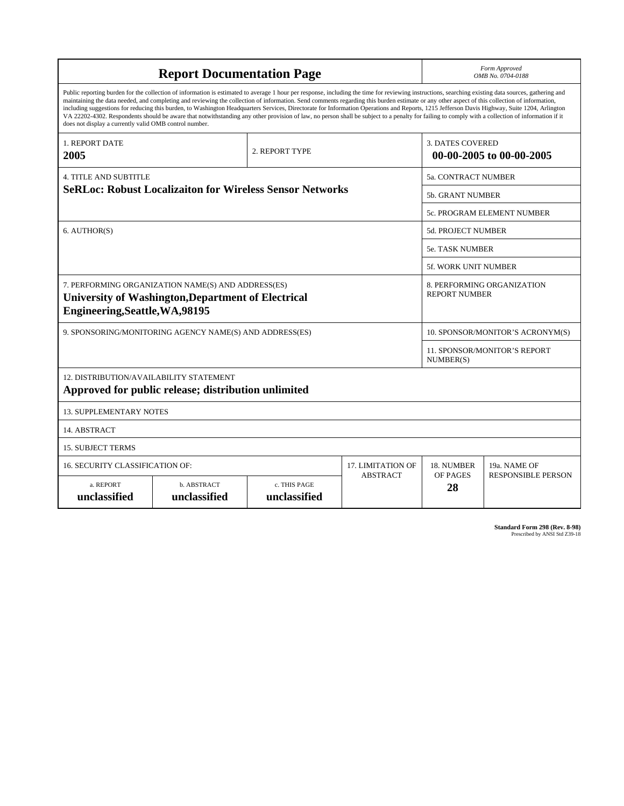| <b>Report Documentation Page</b>                                                                                                                                                                                                                                                                                                                                                                                                                                                                                                                                                                                                                                                                                                                                                                                                                                   |                             |                              |                 |                                  | Form Approved<br>OMB No. 0704-0188                 |  |
|--------------------------------------------------------------------------------------------------------------------------------------------------------------------------------------------------------------------------------------------------------------------------------------------------------------------------------------------------------------------------------------------------------------------------------------------------------------------------------------------------------------------------------------------------------------------------------------------------------------------------------------------------------------------------------------------------------------------------------------------------------------------------------------------------------------------------------------------------------------------|-----------------------------|------------------------------|-----------------|----------------------------------|----------------------------------------------------|--|
| Public reporting burden for the collection of information is estimated to average 1 hour per response, including the time for reviewing instructions, searching existing data sources, gathering and<br>maintaining the data needed, and completing and reviewing the collection of information. Send comments regarding this burden estimate or any other aspect of this collection of information,<br>including suggestions for reducing this burden, to Washington Headquarters Services, Directorate for Information Operations and Reports, 1215 Jefferson Davis Highway, Suite 1204, Arlington<br>VA 22202-4302. Respondents should be aware that notwithstanding any other provision of law, no person shall be subject to a penalty for failing to comply with a collection of information if it<br>does not display a currently valid OMB control number. |                             |                              |                 |                                  |                                                    |  |
| <b>1. REPORT DATE</b><br>2005                                                                                                                                                                                                                                                                                                                                                                                                                                                                                                                                                                                                                                                                                                                                                                                                                                      |                             | 2. REPORT TYPE               |                 | <b>3. DATES COVERED</b>          | 00-00-2005 to 00-00-2005                           |  |
| <b>4. TITLE AND SUBTITLE</b>                                                                                                                                                                                                                                                                                                                                                                                                                                                                                                                                                                                                                                                                                                                                                                                                                                       |                             |                              |                 |                                  | <b>5a. CONTRACT NUMBER</b>                         |  |
| <b>SeRLoc: Robust Localizaiton for Wireless Sensor Networks</b>                                                                                                                                                                                                                                                                                                                                                                                                                                                                                                                                                                                                                                                                                                                                                                                                    |                             |                              |                 |                                  | <b>5b. GRANT NUMBER</b>                            |  |
|                                                                                                                                                                                                                                                                                                                                                                                                                                                                                                                                                                                                                                                                                                                                                                                                                                                                    |                             | 5c. PROGRAM ELEMENT NUMBER   |                 |                                  |                                                    |  |
| 6. AUTHOR(S)                                                                                                                                                                                                                                                                                                                                                                                                                                                                                                                                                                                                                                                                                                                                                                                                                                                       |                             |                              |                 | <b>5d. PROJECT NUMBER</b>        |                                                    |  |
|                                                                                                                                                                                                                                                                                                                                                                                                                                                                                                                                                                                                                                                                                                                                                                                                                                                                    |                             |                              |                 |                                  | <b>5e. TASK NUMBER</b>                             |  |
|                                                                                                                                                                                                                                                                                                                                                                                                                                                                                                                                                                                                                                                                                                                                                                                                                                                                    |                             |                              |                 |                                  | 5f. WORK UNIT NUMBER                               |  |
| 7. PERFORMING ORGANIZATION NAME(S) AND ADDRESS(ES)<br><b>University of Washington, Department of Electrical</b><br>Engineering, Seattle, WA, 98195                                                                                                                                                                                                                                                                                                                                                                                                                                                                                                                                                                                                                                                                                                                 |                             |                              |                 |                                  | 8. PERFORMING ORGANIZATION<br><b>REPORT NUMBER</b> |  |
| 9. SPONSORING/MONITORING AGENCY NAME(S) AND ADDRESS(ES)                                                                                                                                                                                                                                                                                                                                                                                                                                                                                                                                                                                                                                                                                                                                                                                                            |                             |                              |                 | 10. SPONSOR/MONITOR'S ACRONYM(S) |                                                    |  |
|                                                                                                                                                                                                                                                                                                                                                                                                                                                                                                                                                                                                                                                                                                                                                                                                                                                                    |                             |                              |                 |                                  | <b>11. SPONSOR/MONITOR'S REPORT</b><br>NUMBER(S)   |  |
| 12. DISTRIBUTION/AVAILABILITY STATEMENT<br>Approved for public release; distribution unlimited                                                                                                                                                                                                                                                                                                                                                                                                                                                                                                                                                                                                                                                                                                                                                                     |                             |                              |                 |                                  |                                                    |  |
| <b>13. SUPPLEMENTARY NOTES</b>                                                                                                                                                                                                                                                                                                                                                                                                                                                                                                                                                                                                                                                                                                                                                                                                                                     |                             |                              |                 |                                  |                                                    |  |
| 14. ABSTRACT                                                                                                                                                                                                                                                                                                                                                                                                                                                                                                                                                                                                                                                                                                                                                                                                                                                       |                             |                              |                 |                                  |                                                    |  |
| <b>15. SUBJECT TERMS</b>                                                                                                                                                                                                                                                                                                                                                                                                                                                                                                                                                                                                                                                                                                                                                                                                                                           |                             |                              |                 |                                  |                                                    |  |
| <b>16. SECURITY CLASSIFICATION OF:</b><br>17. LIMITATION OF                                                                                                                                                                                                                                                                                                                                                                                                                                                                                                                                                                                                                                                                                                                                                                                                        |                             |                              |                 | 18. NUMBER                       | 19a. NAME OF                                       |  |
| a. REPORT<br>unclassified                                                                                                                                                                                                                                                                                                                                                                                                                                                                                                                                                                                                                                                                                                                                                                                                                                          | b. ABSTRACT<br>unclassified | c. THIS PAGE<br>unclassified | <b>ABSTRACT</b> | OF PAGES<br>28                   | <b>RESPONSIBLE PERSON</b>                          |  |

**Standard Form 298 (Rev. 8-98)**<br>Prescribed by ANSI Std Z39-18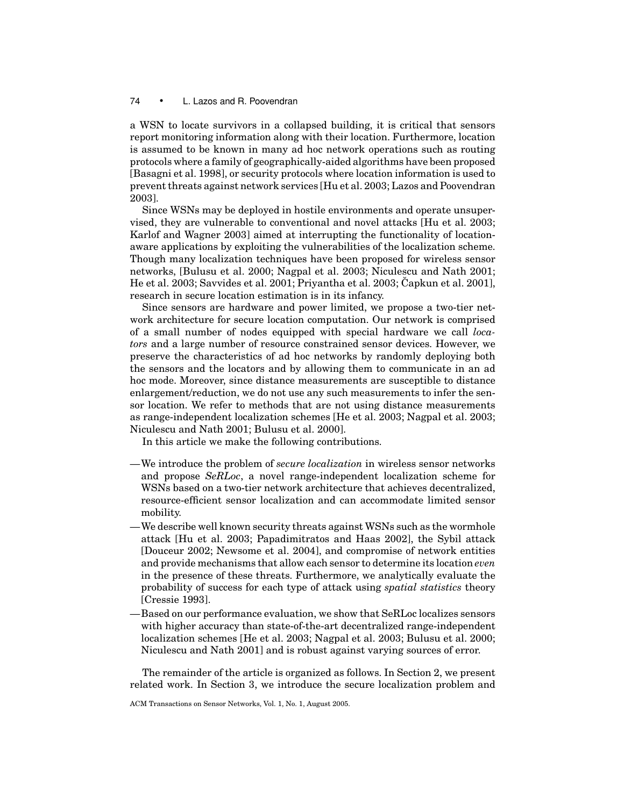a WSN to locate survivors in a collapsed building, it is critical that sensors report monitoring information along with their location. Furthermore, location is assumed to be known in many ad hoc network operations such as routing protocols where a family of geographically-aided algorithms have been proposed [Basagni et al. 1998], or security protocols where location information is used to prevent threats against network services [Hu et al. 2003; Lazos and Poovendran 2003].

Since WSNs may be deployed in hostile environments and operate unsupervised, they are vulnerable to conventional and novel attacks [Hu et al. 2003; Karlof and Wagner 2003] aimed at interrupting the functionality of locationaware applications by exploiting the vulnerabilities of the localization scheme. Though many localization techniques have been proposed for wireless sensor networks, [Bulusu et al. 2000; Nagpal et al. 2003; Niculescu and Nath 2001; He et al. 2003; Savvides et al. 2001; Priyantha et al. 2003; Capkun et al. 2001], research in secure location estimation is in its infancy.

Since sensors are hardware and power limited, we propose a two-tier network architecture for secure location computation. Our network is comprised of a small number of nodes equipped with special hardware we call *locators* and a large number of resource constrained sensor devices. However, we preserve the characteristics of ad hoc networks by randomly deploying both the sensors and the locators and by allowing them to communicate in an ad hoc mode. Moreover, since distance measurements are susceptible to distance enlargement/reduction, we do not use any such measurements to infer the sensor location. We refer to methods that are not using distance measurements as range-independent localization schemes [He et al. 2003; Nagpal et al. 2003; Niculescu and Nath 2001; Bulusu et al. 2000].

In this article we make the following contributions.

- —We introduce the problem of *secure localization* in wireless sensor networks and propose *SeRLoc*, a novel range-independent localization scheme for WSNs based on a two-tier network architecture that achieves decentralized, resource-efficient sensor localization and can accommodate limited sensor mobility.
- —We describe well known security threats against WSNs such as the wormhole attack [Hu et al. 2003; Papadimitratos and Haas 2002], the Sybil attack [Douceur 2002; Newsome et al. 2004], and compromise of network entities and provide mechanisms that allow each sensor to determine its location *even* in the presence of these threats. Furthermore, we analytically evaluate the probability of success for each type of attack using *spatial statistics* theory [Cressie 1993].
- —Based on our performance evaluation, we show that SeRLoc localizes sensors with higher accuracy than state-of-the-art decentralized range-independent localization schemes [He et al. 2003; Nagpal et al. 2003; Bulusu et al. 2000; Niculescu and Nath 2001] and is robust against varying sources of error.

The remainder of the article is organized as follows. In Section 2, we present related work. In Section 3, we introduce the secure localization problem and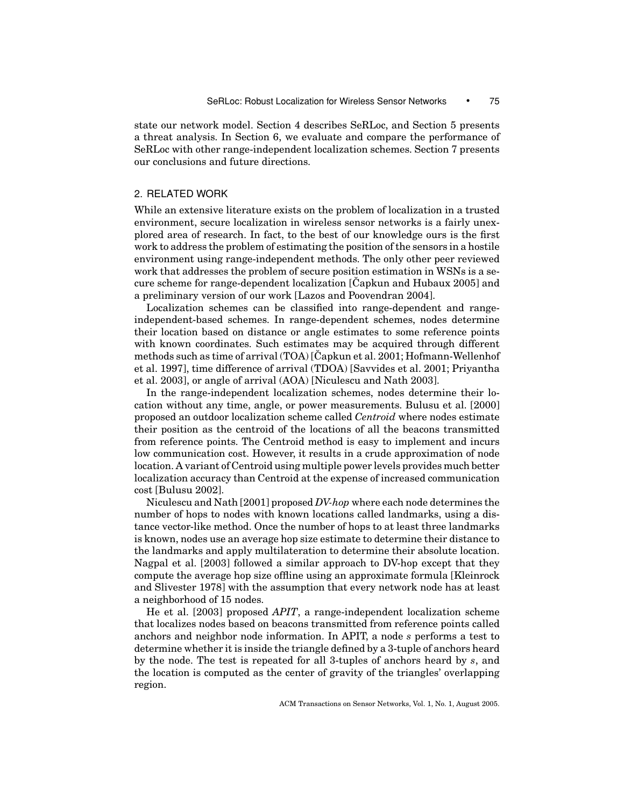state our network model. Section 4 describes SeRLoc, and Section 5 presents a threat analysis. In Section 6, we evaluate and compare the performance of SeRLoc with other range-independent localization schemes. Section 7 presents our conclusions and future directions.

## 2. RELATED WORK

While an extensive literature exists on the problem of localization in a trusted environment, secure localization in wireless sensor networks is a fairly unexplored area of research. In fact, to the best of our knowledge ours is the first work to address the problem of estimating the position of the sensors in a hostile environment using range-independent methods. The only other peer reviewed work that addresses the problem of secure position estimation in WSNs is a secure scheme for range-dependent localization [Capkun and Hubaux 2005] and a preliminary version of our work [Lazos and Poovendran 2004].

Localization schemes can be classified into range-dependent and rangeindependent-based schemes. In range-dependent schemes, nodes determine their location based on distance or angle estimates to some reference points with known coordinates. Such estimates may be acquired through different methods such as time of arrival (TOA) [Capkun et al. 2001; Hofmann-Wellenhof et al. 1997], time difference of arrival (TDOA) [Savvides et al. 2001; Priyantha et al. 2003], or angle of arrival (AOA) [Niculescu and Nath 2003].

In the range-independent localization schemes, nodes determine their location without any time, angle, or power measurements. Bulusu et al. [2000] proposed an outdoor localization scheme called *Centroid* where nodes estimate their position as the centroid of the locations of all the beacons transmitted from reference points. The Centroid method is easy to implement and incurs low communication cost. However, it results in a crude approximation of node location. A variant of Centroid using multiple power levels provides much better localization accuracy than Centroid at the expense of increased communication cost [Bulusu 2002].

Niculescu and Nath [2001] proposed *DV-hop* where each node determines the number of hops to nodes with known locations called landmarks, using a distance vector-like method. Once the number of hops to at least three landmarks is known, nodes use an average hop size estimate to determine their distance to the landmarks and apply multilateration to determine their absolute location. Nagpal et al. [2003] followed a similar approach to DV-hop except that they compute the average hop size offline using an approximate formula [Kleinrock and Slivester 1978] with the assumption that every network node has at least a neighborhood of 15 nodes.

He et al. [2003] proposed *APIT*, a range-independent localization scheme that localizes nodes based on beacons transmitted from reference points called anchors and neighbor node information. In APIT, a node *s* performs a test to determine whether it is inside the triangle defined by a 3-tuple of anchors heard by the node. The test is repeated for all 3-tuples of anchors heard by *s*, and the location is computed as the center of gravity of the triangles' overlapping region.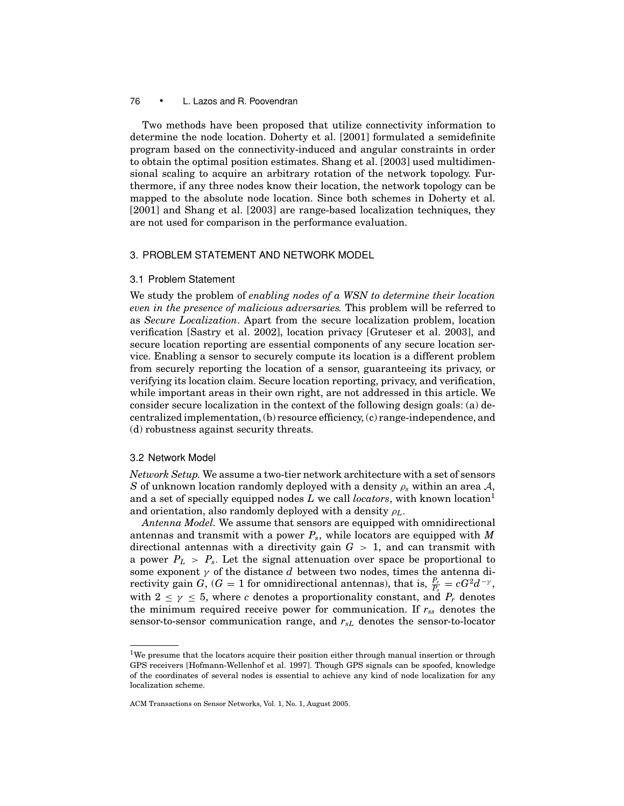Two methods have been proposed that utilize connectivity information to determine the node location. Doherty et al. [2001] formulated a semidefinite program based on the connectivity-induced and angular constraints in order to obtain the optimal position estimates. Shang et al. [2003] used multidimensional scaling to acquire an arbitrary rotation of the network topology. Furthermore, if any three nodes know their location, the network topology can be mapped to the absolute node location. Since both schemes in Doherty et al. [2001] and Shang et al. [2003] are range-based localization techniques, they are not used for comparison in the performance evaluation.

## 3. PROBLEM STATEMENT AND NETWORK MODEL

#### 3.1 Problem Statement

We study the problem of *enabling nodes of a WSN to determine their location even in the presence of malicious adversaries.* This problem will be referred to as *Secure Localization*. Apart from the secure localization problem, location verification [Sastry et al. 2002], location privacy [Gruteser et al. 2003], and secure location reporting are essential components of any secure location service. Enabling a sensor to securely compute its location is a different problem from securely reporting the location of a sensor, guaranteeing its privacy, or verifying its location claim. Secure location reporting, privacy, and verification, while important areas in their own right, are not addressed in this article. We consider secure localization in the context of the following design goals: (a) decentralized implementation, (b) resource efficiency, (c) range-independence, and (d) robustness against security threats.

## 3.2 Network Model

*Network Setup.* We assume a two-tier network architecture with a set of sensors *S* of unknown location randomly deployed with a density  $\rho_s$  within an area A, and a set of specially equipped nodes  $L$  we call *locators*, with known location<sup>1</sup> and orientation, also randomly deployed with a density ρ*L*.

*Antenna Model.* We assume that sensors are equipped with omnidirectional antennas and transmit with a power *Ps*, while locators are equipped with *M* directional antennas with a directivity gain  $G > 1$ , and can transmit with a power  $P_L > P_s$ . Let the signal attenuation over space be proportional to some exponent  $\gamma$  of the distance  $d$  between two nodes, times the antenna directivity gain *G*, (*G* = 1 for omnidirectional antennas), that is,  $\frac{P_r}{P_s} = cG^2d^{-\gamma}$ , with  $2 \leq \gamma \leq 5$ , where *c* denotes a proportionality constant, and  $P_r$  denotes the minimum required receive power for communication. If *rss* denotes the sensor-to-sensor communication range, and *rsL* denotes the sensor-to-locator

<sup>&</sup>lt;sup>1</sup>We presume that the locators acquire their position either through manual insertion or through GPS receivers [Hofmann-Wellenhof et al. 1997]. Though GPS signals can be spoofed, knowledge of the coordinates of several nodes is essential to achieve any kind of node localization for any localization scheme.

ACM Transactions on Sensor Networks, Vol. 1, No. 1, August 2005.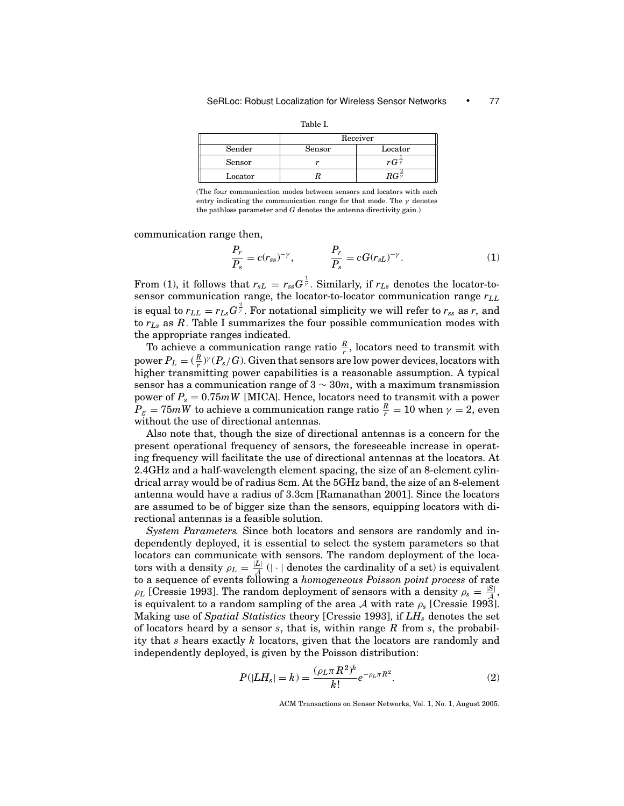|         | Receiver |         |  |
|---------|----------|---------|--|
| Sender  | Sensor   | Locator |  |
| Sensor  |          |         |  |
| Locator |          |         |  |

Table I.

(The four communication modes between sensors and locators with each entry indicating the communication range for that mode. The  $\gamma$  denotes the pathloss parameter and *G* denotes the antenna directivity gain.)

communication range then,

$$
\frac{P_r}{P_s} = c(r_{ss})^{-\gamma}, \qquad \frac{P_r}{P_s} = cG(r_{sL})^{-\gamma}.
$$
 (1)

From (1), it follows that  $r_{sL} = r_{ss}G^{\frac{1}{\gamma}}$ . Similarly, if  $r_{Ls}$  denotes the locator-tosensor communication range, the locator-to-locator communication range  $r_{LL}$ is equal to  $r_{LL}=r_{Ls}G^{\frac{2}{\gamma}}.$  For notational simplicity we will refer to  $r_{ss}$  as  $r,$  and to *rLs* as *R*. Table I summarizes the four possible communication modes with the appropriate ranges indicated.

To achieve a communication range ratio  $\frac{R}{r}$ , locators need to transmit with power  $P_L = (\frac{R}{r})^{\gamma} (P_s/G)$ . Given that sensors are low power devices, locators with higher transmitting power capabilities is a reasonable assumption. A typical sensor has a communication range of 3 ∼ 30*m*, with a maximum transmission power of  $P_s = 0.75mW$  [MICA]. Hence, locators need to transmit with a power  $P_g = 75mW$  to achieve a communication range ratio  $\frac{R}{r} = 10$  when  $\gamma = 2$ , even without the use of directional antennas.

Also note that, though the size of directional antennas is a concern for the present operational frequency of sensors, the foreseeable increase in operating frequency will facilitate the use of directional antennas at the locators. At 2.4GHz and a half-wavelength element spacing, the size of an 8-element cylindrical array would be of radius 8cm. At the 5GHz band, the size of an 8-element antenna would have a radius of 3.3cm [Ramanathan 2001]. Since the locators are assumed to be of bigger size than the sensors, equipping locators with directional antennas is a feasible solution.

*System Parameters.* Since both locators and sensors are randomly and independently deployed, it is essential to select the system parameters so that locators can communicate with sensors. The random deployment of the locators with a density  $\rho_L = \frac{|L|}{A}$  (|·| denotes the cardinality of a set) is equivalent to a sequence of events following a *homogeneous Poisson point process* of rate  $\rho_L$  [Cressie 1993]. The random deployment of sensors with a density  $\rho_s = \frac{|S|}{A}$ , is equivalent to a random sampling of the area A with rate  $\rho_s$  [Cressie 1993]. Making use of *Spatial Statistics* theory [Cressie 1993], if *LHs* denotes the set of locators heard by a sensor *s*, that is, within range *R* from *s*, the probability that *s* hears exactly *k* locators, given that the locators are randomly and independently deployed, is given by the Poisson distribution:

$$
P(|LH_s| = k) = \frac{(\rho_L \pi R^2)^k}{k!} e^{-\rho_L \pi R^2}.
$$
 (2)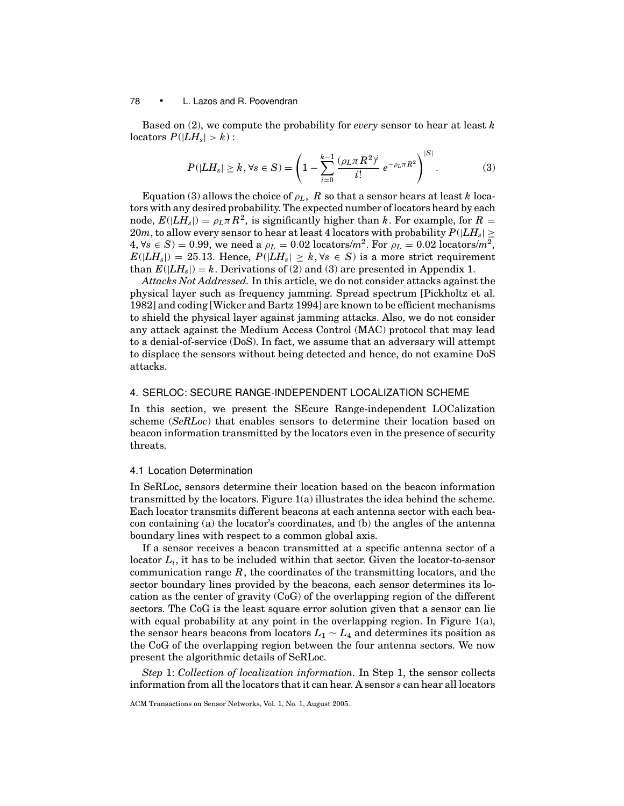Based on (2), we compute the probability for *every* sensor to hear at least *k*  $\text{locators } P(|LH_s| > k)$ :

$$
P(|LH_s| \ge k, \forall s \in S) = \left(1 - \sum_{i=0}^{k-1} \frac{(\rho_L \pi R^2)^i}{i!} e^{-\rho_L \pi R^2}\right)^{|S|}.
$$
 (3)

Equation (3) allows the choice of  $\rho_L$ , *R* so that a sensor hears at least *k* locators with any desired probability. The expected number of locators heard by each node,  $E(|LH_s|) = \rho_L \pi R^2$ , is significantly higher than *k*. For example, for  $R =$ 20*m*, to allow every sensor to hear at least 4 locators with probability  $P(|LH_s| \geq$ 4,  $\forall s \in S$ ) = 0.99, we need a  $\rho_L = 0.02$  locators/ $m^2$ . For  $\rho_L = 0.02$  locators/ $m^2$ ,  $E(|LH_s|) = 25.13$ . Hence,  $P(|LH_s| \geq k, \forall s \in S)$  is a more strict requirement than  $E(|LH_s|) = k$ . Derivations of (2) and (3) are presented in Appendix 1.

*Attacks Not Addressed.* In this article, we do not consider attacks against the physical layer such as frequency jamming. Spread spectrum [Pickholtz et al. 1982] and coding [Wicker and Bartz 1994] are known to be efficient mechanisms to shield the physical layer against jamming attacks. Also, we do not consider any attack against the Medium Access Control (MAC) protocol that may lead to a denial-of-service (DoS). In fact, we assume that an adversary will attempt to displace the sensors without being detected and hence, do not examine DoS attacks.

# 4. SERLOC: SECURE RANGE-INDEPENDENT LOCALIZATION SCHEME

In this section, we present the SEcure Range-independent LOCalization scheme (*SeRLoc*) that enables sensors to determine their location based on beacon information transmitted by the locators even in the presence of security threats.

#### 4.1 Location Determination

In SeRLoc, sensors determine their location based on the beacon information transmitted by the locators. Figure 1(a) illustrates the idea behind the scheme. Each locator transmits different beacons at each antenna sector with each beacon containing (a) the locator's coordinates, and (b) the angles of the antenna boundary lines with respect to a common global axis.

If a sensor receives a beacon transmitted at a specific antenna sector of a locator *Li*, it has to be included within that sector. Given the locator-to-sensor communication range *R*, the coordinates of the transmitting locators, and the sector boundary lines provided by the beacons, each sensor determines its location as the center of gravity (CoG) of the overlapping region of the different sectors. The CoG is the least square error solution given that a sensor can lie with equal probability at any point in the overlapping region. In Figure 1(a), the sensor hears beacons from locators *L*<sup>1</sup> ∼ *L*<sup>4</sup> and determines its position as the CoG of the overlapping region between the four antenna sectors. We now present the algorithmic details of SeRLoc.

*Step* 1: *Collection of localization information.* In Step 1, the sensor collects information from all the locators that it can hear. A sensor *s* can hear all locators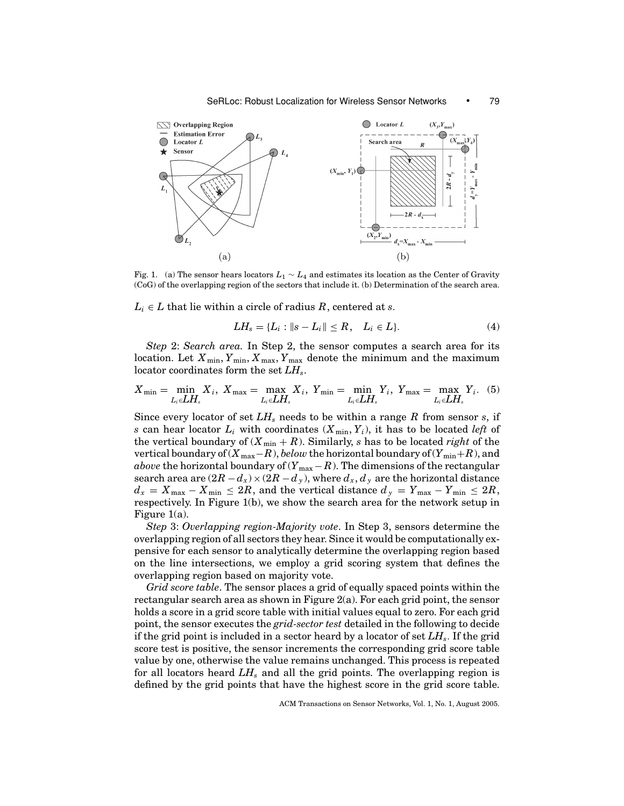

Fig. 1. (a) The sensor hears locators  $L_1 \sim L_4$  and estimates its location as the Center of Gravity (CoG) of the overlapping region of the sectors that include it. (b) Determination of the search area.

 $L_i \in L$  that lie within a circle of radius *R*, centered at *s*.

$$
LH_s = \{L_i : ||s - L_i|| \le R, \quad L_i \in L\}.
$$
 (4)

*Step* 2: *Search area.* In Step 2, the sensor computes a search area for its location. Let  $X_{\min}$ ,  $Y_{\min}$ ,  $X_{\max}$ ,  $Y_{\max}$  denote the minimum and the maximum locator coordinates form the set *LHs*.

$$
X_{\min} = \min_{L_i \in L H_s} X_i, \ X_{\max} = \max_{L_i \in L H_s} X_i, \ Y_{\min} = \min_{L_i \in L H_s} Y_i, \ Y_{\max} = \max_{L_i \in L H_s} Y_i. \tag{5}
$$

Since every locator of set *LHs* needs to be within a range *R* from sensor *s*, if *s* can hear locator  $L_i$  with coordinates  $(X_{\min}, Y_i)$ , it has to be located *left* of the vertical boundary of  $(X_{min} + R)$ . Similarly, *s* has to be located *right* of the vertical boundary of  $(X_{\text{max}}-R)$ , *below* the horizontal boundary of  $(Y_{\text{min}}+R)$ , and *above* the horizontal boundary of (*Y*max− *R*). The dimensions of the rectangular search area are  $(2R - d_x) \times (2R - d_y)$ , where  $d_x, d_y$  are the horizontal distance  $d_x = X_{\text{max}} - X_{\text{min}} \leq 2R$ , and the vertical distance  $d_y = Y_{\text{max}} - Y_{\text{min}} \leq 2R$ , respectively. In Figure 1(b), we show the search area for the network setup in Figure 1(a).

*Step* 3: *Overlapping region-Majority vote*. In Step 3, sensors determine the overlapping region of all sectors they hear. Since it would be computationally expensive for each sensor to analytically determine the overlapping region based on the line intersections, we employ a grid scoring system that defines the overlapping region based on majority vote.

*Grid score table*. The sensor places a grid of equally spaced points within the rectangular search area as shown in Figure 2(a). For each grid point, the sensor holds a score in a grid score table with initial values equal to zero. For each grid point, the sensor executes the *grid-sector test* detailed in the following to decide if the grid point is included in a sector heard by a locator of set *LHs*. If the grid score test is positive, the sensor increments the corresponding grid score table value by one, otherwise the value remains unchanged. This process is repeated for all locators heard *LHs* and all the grid points. The overlapping region is defined by the grid points that have the highest score in the grid score table.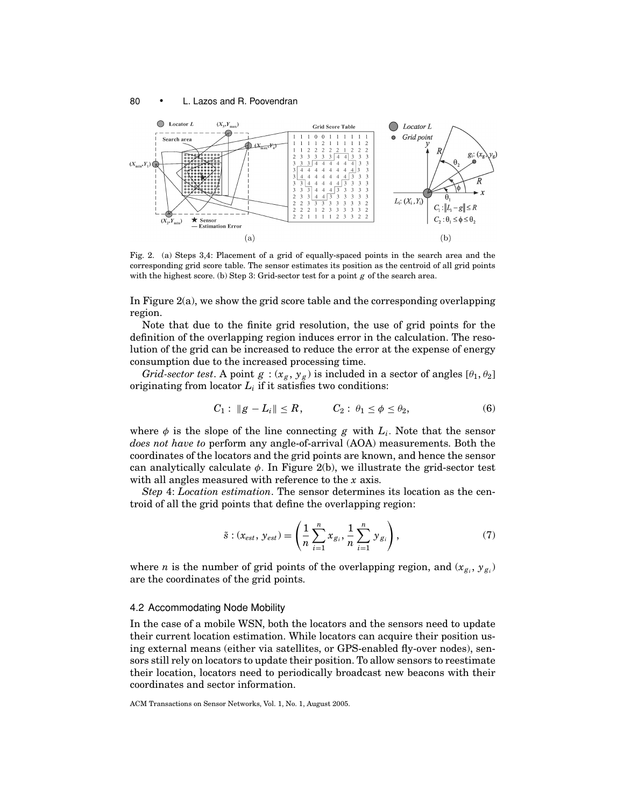

Fig. 2. (a) Steps 3,4: Placement of a grid of equally-spaced points in the search area and the corresponding grid score table. The sensor estimates its position as the centroid of all grid points with the highest score. (b) Step 3: Grid-sector test for a point *g* of the search area.

In Figure 2(a), we show the grid score table and the corresponding overlapping region.

Note that due to the finite grid resolution, the use of grid points for the definition of the overlapping region induces error in the calculation. The resolution of the grid can be increased to reduce the error at the expense of energy consumption due to the increased processing time.

*Grid-sector test.* A point  $g:(x_g, y_g)$  is included in a sector of angles  $[\theta_1, \theta_2]$ originating from locator  $L_i$  if it satisfies two conditions:

$$
C_1: \|g - L_i\| \le R, \qquad C_2: \theta_1 \le \phi \le \theta_2, \tag{6}
$$

where  $\phi$  is the slope of the line connecting *g* with  $L_i$ . Note that the sensor *does not have to* perform any angle-of-arrival (AOA) measurements. Both the coordinates of the locators and the grid points are known, and hence the sensor can analytically calculate  $\phi$ . In Figure 2(b), we illustrate the grid-sector test with all angles measured with reference to the *x* axis.

*Step* 4: *Location estimation*. The sensor determines its location as the centroid of all the grid points that define the overlapping region:

$$
\tilde{s} : (x_{est}, y_{est}) = \left(\frac{1}{n} \sum_{i=1}^{n} x_{gi}, \frac{1}{n} \sum_{i=1}^{n} y_{gi}\right),\tag{7}
$$

where *n* is the number of grid points of the overlapping region, and  $(x_{g_i}, y_{g_i})$ are the coordinates of the grid points.

#### 4.2 Accommodating Node Mobility

In the case of a mobile WSN, both the locators and the sensors need to update their current location estimation. While locators can acquire their position using external means (either via satellites, or GPS-enabled fly-over nodes), sensors still rely on locators to update their position. To allow sensors to reestimate their location, locators need to periodically broadcast new beacons with their coordinates and sector information.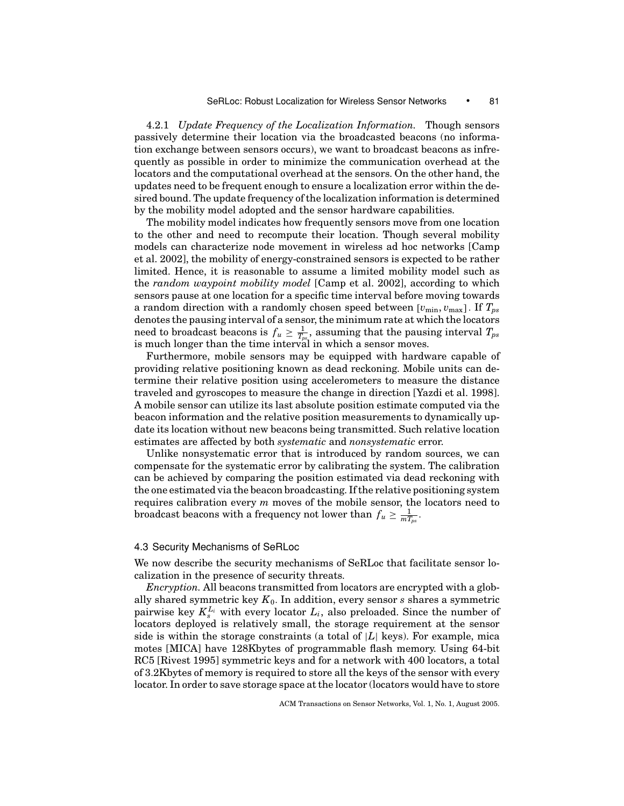4.2.1 *Update Frequency of the Localization Information.* Though sensors passively determine their location via the broadcasted beacons (no information exchange between sensors occurs), we want to broadcast beacons as infrequently as possible in order to minimize the communication overhead at the locators and the computational overhead at the sensors. On the other hand, the updates need to be frequent enough to ensure a localization error within the desired bound. The update frequency of the localization information is determined by the mobility model adopted and the sensor hardware capabilities.

The mobility model indicates how frequently sensors move from one location to the other and need to recompute their location. Though several mobility models can characterize node movement in wireless ad hoc networks [Camp et al. 2002], the mobility of energy-constrained sensors is expected to be rather limited. Hence, it is reasonable to assume a limited mobility model such as the *random waypoint mobility model* [Camp et al. 2002], according to which sensors pause at one location for a specific time interval before moving towards a random direction with a randomly chosen speed between  $[v_{\min}, v_{\max}]$ . If  $T_{ps}$ denotes the pausing interval of a sensor, the minimum rate at which the locators need to broadcast beacons is  $f_u \geq \frac{1}{T_{ps}}$ , assuming that the pausing interval  $T_{ps}$ is much longer than the time interval in which a sensor moves.

Furthermore, mobile sensors may be equipped with hardware capable of providing relative positioning known as dead reckoning. Mobile units can determine their relative position using accelerometers to measure the distance traveled and gyroscopes to measure the change in direction [Yazdi et al. 1998]. A mobile sensor can utilize its last absolute position estimate computed via the beacon information and the relative position measurements to dynamically update its location without new beacons being transmitted. Such relative location estimates are affected by both *systematic* and *nonsystematic* error.

Unlike nonsystematic error that is introduced by random sources, we can compensate for the systematic error by calibrating the system. The calibration can be achieved by comparing the position estimated via dead reckoning with the one estimated via the beacon broadcasting. If the relative positioning system requires calibration every *m* moves of the mobile sensor, the locators need to broadcast beacons with a frequency not lower than  $f_u \geq \frac{1}{mT_{ps}}$ .

## 4.3 Security Mechanisms of SeRLoc

We now describe the security mechanisms of SeRLoc that facilitate sensor localization in the presence of security threats.

*Encryption.* All beacons transmitted from locators are encrypted with a globally shared symmetric key *K*0. In addition, every sensor *s* shares a symmetric pairwise key  $K_s^{L_i}$  with every locator  $L_i$ , also preloaded. Since the number of locators deployed is relatively small, the storage requirement at the sensor side is within the storage constraints (a total of  $|L|$  keys). For example, mica motes [MICA] have 128Kbytes of programmable flash memory. Using 64-bit RC5 [Rivest 1995] symmetric keys and for a network with 400 locators, a total of 3.2Kbytes of memory is required to store all the keys of the sensor with every locator. In order to save storage space at the locator (locators would have to store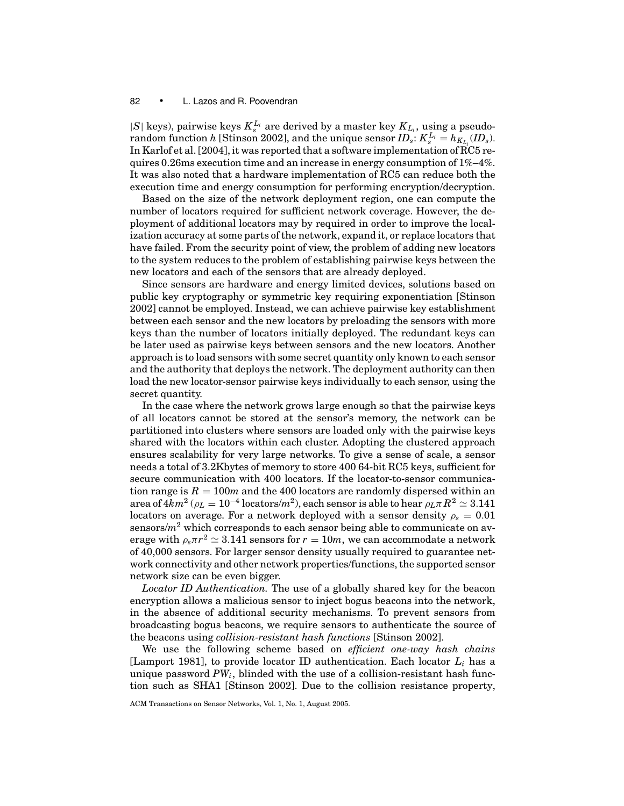$|S|$  keys), pairwise keys  $K_s^{L_i}$  are derived by a master key  $K_{L_i}$ , using a pseudorandom function *h* [Stinson 2002], and the unique sensor  $ID_s: K_s^{L_i} = h_{K_{L_i}}(ID_s)$ . In Karlof et al. [2004], it was reported that a software implementation of RC5 requires 0.26ms execution time and an increase in energy consumption of 1%–4%. It was also noted that a hardware implementation of RC5 can reduce both the execution time and energy consumption for performing encryption/decryption.

Based on the size of the network deployment region, one can compute the number of locators required for sufficient network coverage. However, the deployment of additional locators may by required in order to improve the localization accuracy at some parts of the network, expand it, or replace locators that have failed. From the security point of view, the problem of adding new locators to the system reduces to the problem of establishing pairwise keys between the new locators and each of the sensors that are already deployed.

Since sensors are hardware and energy limited devices, solutions based on public key cryptography or symmetric key requiring exponentiation [Stinson 2002] cannot be employed. Instead, we can achieve pairwise key establishment between each sensor and the new locators by preloading the sensors with more keys than the number of locators initially deployed. The redundant keys can be later used as pairwise keys between sensors and the new locators. Another approach is to load sensors with some secret quantity only known to each sensor and the authority that deploys the network. The deployment authority can then load the new locator-sensor pairwise keys individually to each sensor, using the secret quantity.

In the case where the network grows large enough so that the pairwise keys of all locators cannot be stored at the sensor's memory, the network can be partitioned into clusters where sensors are loaded only with the pairwise keys shared with the locators within each cluster. Adopting the clustered approach ensures scalability for very large networks. To give a sense of scale, a sensor needs a total of 3.2Kbytes of memory to store 400 64-bit RC5 keys, sufficient for secure communication with 400 locators. If the locator-to-sensor communication range is  $R = 100m$  and the 400 locators are randomly dispersed within an area of  $4km^2$  ( $\rho_L = 10^{-4}$  locators/ $m^2$ ), each sensor is able to hear  $\rho_L \pi R^2 \simeq 3.141$ locators on average. For a network deployed with a sensor density  $\rho_s = 0.01$ sensors/ $m<sup>2</sup>$  which corresponds to each sensor being able to communicate on average with  $\rho_s \pi r^2 \simeq 3.141$  sensors for  $r = 10m$ , we can accommodate a network of 40,000 sensors. For larger sensor density usually required to guarantee network connectivity and other network properties/functions, the supported sensor network size can be even bigger.

*Locator ID Authentication.* The use of a globally shared key for the beacon encryption allows a malicious sensor to inject bogus beacons into the network, in the absence of additional security mechanisms. To prevent sensors from broadcasting bogus beacons, we require sensors to authenticate the source of the beacons using *collision-resistant hash functions* [Stinson 2002].

We use the following scheme based on *efficient one-way hash chains* [Lamport 1981], to provide locator ID authentication. Each locator *Li* has a unique password  $PW_i$ , blinded with the use of a collision-resistant hash function such as SHA1 [Stinson 2002]. Due to the collision resistance property,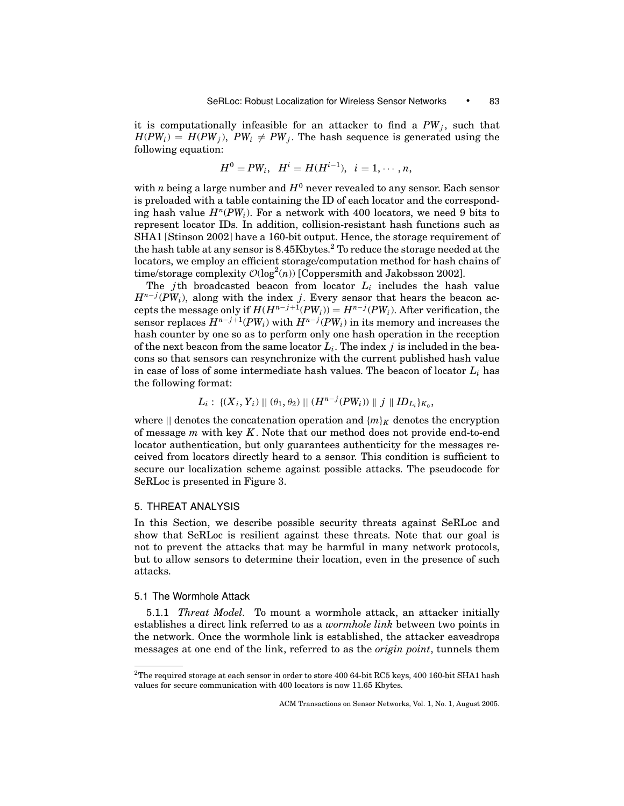it is computationally infeasible for an attacker to find a  $PW_i$ , such that  $H(PW_i) = H(PW_j)$ ,  $PW_i \neq PW_j$ . The hash sequence is generated using the following equation:

$$
H^0 = PW_i, \ \ H^i = H(H^{i-1}), \ \ i = 1, \cdots, n,
$$

with *n* being a large number and  $H^0$  never revealed to any sensor. Each sensor is preloaded with a table containing the ID of each locator and the corresponding hash value  $H^n(PW_i)$ . For a network with 400 locators, we need 9 bits to represent locator IDs. In addition, collision-resistant hash functions such as SHA1 [Stinson 2002] have a 160-bit output. Hence, the storage requirement of the hash table at any sensor is  $8.45$ Kbytes.<sup>2</sup> To reduce the storage needed at the locators, we employ an efficient storage/computation method for hash chains of time/storage complexity  $\mathcal{O}(\log^2(n))$  [Coppersmith and Jakobsson 2002].

The *j*th broadcasted beacon from locator  $L_i$  includes the hash value  $H^{n-j}(PW_i)$ , along with the index *j*. Every sensor that hears the beacon accepts the message only if  $H(H^{n-j+1}(PW_i)) = H^{n-j}(PW_i)$ . After verification, the sensor replaces  $H^{n-j+1}(PW_i)$  with  $H^{n-j}(PW_i)$  in its memory and increases the hash counter by one so as to perform only one hash operation in the reception of the next beacon from the same locator  $L_i$ . The index  $j$  is included in the beacons so that sensors can resynchronize with the current published hash value in case of loss of some intermediate hash values. The beacon of locator *Li* has the following format:

$$
L_i: \{ (X_i, Y_i) \mid \mid (\theta_1, \theta_2) \mid \mid (H^{n-j}(PW_i)) \mid \mid j \mid \mid ID_{L_i} \}_{K_0},
$$

where  $\parallel$  denotes the concatenation operation and  $\{m\}_K$  denotes the encryption of message *m* with key *K* . Note that our method does not provide end-to-end locator authentication, but only guarantees authenticity for the messages received from locators directly heard to a sensor. This condition is sufficient to secure our localization scheme against possible attacks. The pseudocode for SeRLoc is presented in Figure 3.

## 5. THREAT ANALYSIS

In this Section, we describe possible security threats against SeRLoc and show that SeRLoc is resilient against these threats. Note that our goal is not to prevent the attacks that may be harmful in many network protocols, but to allow sensors to determine their location, even in the presence of such attacks.

#### 5.1 The Wormhole Attack

5.1.1 *Threat Model.* To mount a wormhole attack, an attacker initially establishes a direct link referred to as a *wormhole link* between two points in the network. Once the wormhole link is established, the attacker eavesdrops messages at one end of the link, referred to as the *origin point*, tunnels them

<sup>&</sup>lt;sup>2</sup>The required storage at each sensor in order to store 400 64-bit RC5 keys, 400 160-bit SHA1 hash values for secure communication with 400 locators is now 11.65 Kbytes.

ACM Transactions on Sensor Networks, Vol. 1, No. 1, August 2005.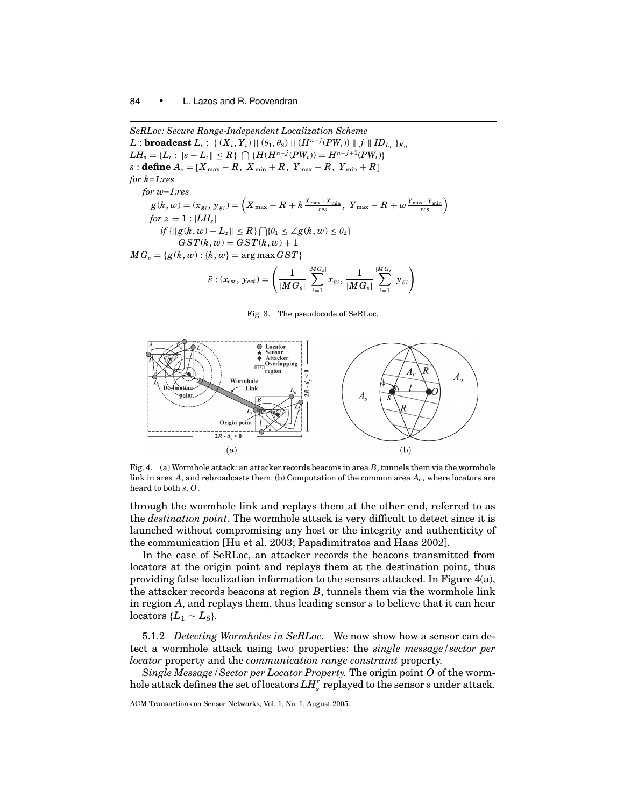*SeRLoc: Secure Range-Independent Localization Scheme*  $L$  :  $\mathbf{broadcast}\ L_i: \ \{\ (X_i, Y_i) \mid \mid (\theta_1, \theta_2) \mid \mid (H^{n-j}(PW_i)) \parallel j \parallel ID_{L_i}\ \}_{K_0}$  $LH_s = \{L_i : ||s - L_i|| \leq R\} \bigcap \{H(H^{n-j}(PW_i)) = H^{n-j+1}(PW_i)\}$  $s:$ **define**  $A_s = [X_{\text{max}} - R, X_{\text{min}} + R, Y_{\text{max}} - R, Y_{\text{min}} + R]$ *for k=1:res for w=1:res*  $g(k,w)=(x_{\textit{g}_i}, \textit{y}_{\textit{g}_i})=\left(X_{\text{max}}-R+k\frac{X_{\text{max}}-X_{\text{min}}}{\textit{res}}, \textit{Y}_{\text{max}}-R+w\frac{Y_{\text{max}}-Y_{\text{min}}}{\textit{res}}\right)$ *for*  $z = 1$  *:*  $|LH_s|$  $if \{\|g(k, w) - L_z\| \le R\} \bigcap {\{\theta_1 \le \angle g(k, w) \le \theta_2\}}$  $GST(k, w) = GST(k, w) + 1$  $MG_s = \{g(k, w) : \{k, w\} = \arg \max GST\}$  $\tilde{s}$  : ( $x_{est}$ ,  $y_{est}$ ) =  $\begin{pmatrix} 1 \end{pmatrix}$  $|M G_s|$  $\sum_{s=1}^{\lvert\bm{M}\bm{G}_{s}\rvert}$  $\sum_{i=1}^{M G_S\vert} x_{g_i}, \frac{1}{\vert MG_s\vert}$  $\sum_{s=1}^{\lvert\bm{M}\bm{G}_{s}\rvert}$  $\sum_{i=1}^{\ } y_{g_i}$  $\setminus$ 

Fig. 3. The pseudocode of SeRLoc.



Fig. 4. (a) Wormhole attack: an attacker records beacons in area *B*, tunnels them via the wormhole link in area *A*, and rebroadcasts them. (b) Computation of the common area *Ac*, where locators are heard to both *s*, *O*.

through the wormhole link and replays them at the other end, referred to as the *destination point*. The wormhole attack is very difficult to detect since it is launched without compromising any host or the integrity and authenticity of the communication [Hu et al. 2003; Papadimitratos and Haas 2002].

In the case of SeRLoc, an attacker records the beacons transmitted from locators at the origin point and replays them at the destination point, thus providing false localization information to the sensors attacked. In Figure 4(a), the attacker records beacons at region *B*, tunnels them via the wormhole link in region *A*, and replays them, thus leading sensor *s* to believe that it can hear locators  ${L_1 \sim L_8}$ .

5.1.2 *Detecting Wormholes in SeRLoc.* We now show how a sensor can detect a wormhole attack using two properties: the *single message/sector per locator* property and the *communication range constraint* property.

*Single Message/Sector per Locator Property.* The origin point *O* of the wormhole attack defines the set of locators  $LH_s^r$  replayed to the sensor  $s$  under attack.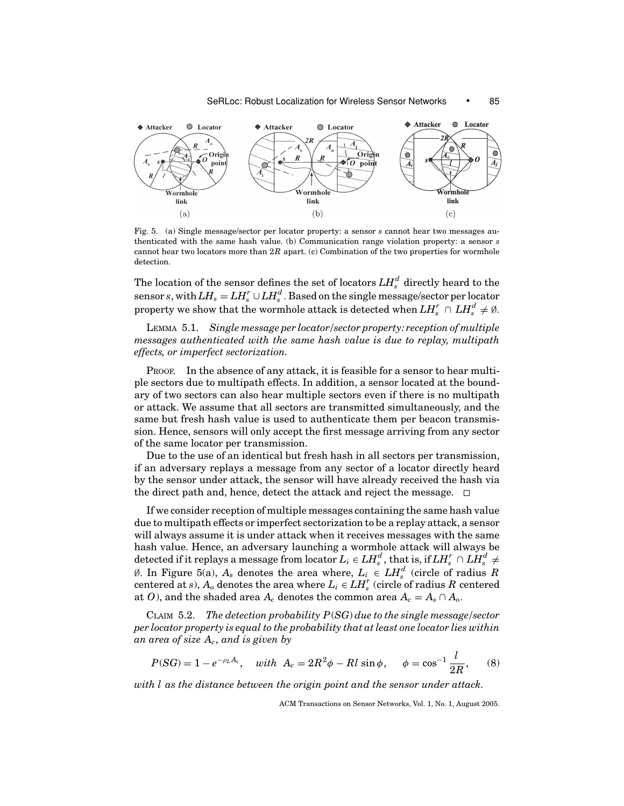

Fig. 5. (a) Single message/sector per locator property: a sensor *s* cannot hear two messages authenticated with the same hash value. (b) Communication range violation property: a sensor *s* cannot hear two locators more than 2*R* apart. (c) Combination of the two properties for wormhole detection.

The location of the sensor defines the set of locators  $LH_s^d$  directly heard to the  $sensor \,s$  , with  $LH_s = LH_s^r \cup LH_s^d$  . Based on the single message/sector per locator property we show that the wormhole attack is detected when  $LH_{s}^{r} \, \cap \, LH_{s}^{d} \neq \emptyset.$ 

LEMMA 5.1. *Single message per locator/sector property: reception of multiple messages authenticated with the same hash value is due to replay, multipath effects, or imperfect sectorization.*

PROOF. In the absence of any attack, it is feasible for a sensor to hear multiple sectors due to multipath effects. In addition, a sensor located at the boundary of two sectors can also hear multiple sectors even if there is no multipath or attack. We assume that all sectors are transmitted simultaneously, and the same but fresh hash value is used to authenticate them per beacon transmission. Hence, sensors will only accept the first message arriving from any sector of the same locator per transmission.

Due to the use of an identical but fresh hash in all sectors per transmission, if an adversary replays a message from any sector of a locator directly heard by the sensor under attack, the sensor will have already received the hash via the direct path and, hence, detect the attack and reject the message.  $\Box$ 

If we consider reception of multiple messages containing the same hash value due to multipath effects or imperfect sectorization to be a replay attack, a sensor will always assume it is under attack when it receives messages with the same hash value. Hence, an adversary launching a wormhole attack will always be  $\det$  detected if it replays a message from locator  $L_i \in LH_s^d$  , that is, if  $LH_s^r \cap LH_s^d \neq 0$ Ø. In Figure 5(a),  $A_s$  denotes the area where,  $L_i\,\in\, L\!H_s^d$  (circle of radius  $R$  $\mathbf{c}$  centered at *s*),  $A_o$  denotes the area where  $L_i \in LH_s^r$  (circle of radius  $R$  centered at *O*), and the shaded area  $A_c$  denotes the common area  $A_c = A_s \cap A_o$ .

CLAIM 5.2. *The detection probability P*(*SG*) *due to the single message/sector per locator property is equal to the probability that at least one locator lies within an area of size Ac*, *and is given by*

$$
P(SG) = 1 - e^{-\rho_L A_c}, \quad with \ \ A_c = 2R^2\phi - Rl\sin\phi, \quad \phi = \cos^{-1}\frac{l}{2R}, \tag{8}
$$

*with l as the distance between the origin point and the sensor under attack.*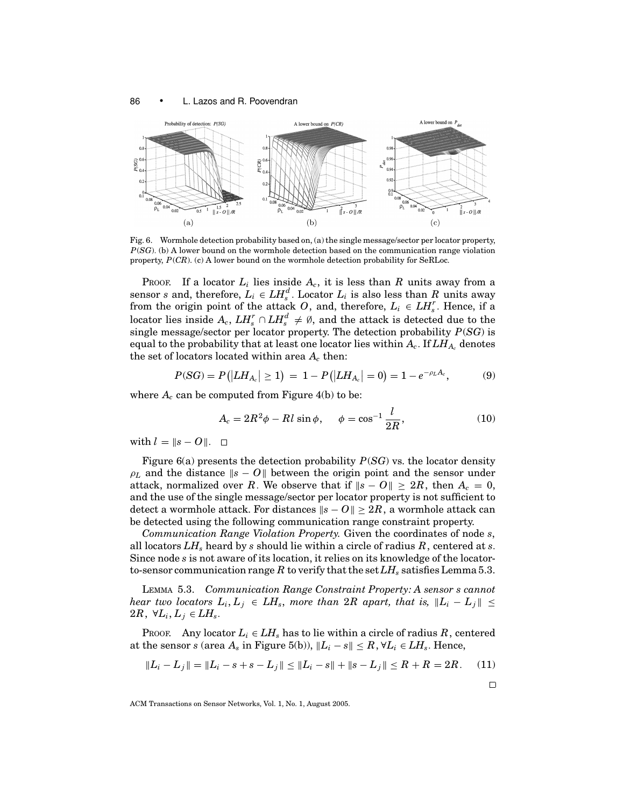

Fig. 6. Wormhole detection probability based on, (a) the single message/sector per locator property, *P*(*SG*). (b) A lower bound on the wormhole detection based on the communication range violation property, *P*(*CR*). (c) A lower bound on the wormhole detection probability for SeRLoc.

**PROOF.** If a locator  $L_i$  lies inside  $A_c$ , it is less than  $R$  units away from a sensor *s* and, therefore,  $L_i \in LH_s^d$ . Locator  $L_i$  is also less than  $R$  units away from the origin point of the attack *O*, and, therefore,  $L_i \in LH_s^r$ . Hence, if a locator lies inside  $A_c$ ,  $LH_s^r \cap LH_s^d \, \neq \emptyset$ , and the attack is detected due to the single message/sector per locator property. The detection probability  $P(SG)$  is equal to the probability that at least one locator lies within  $A_c$ . If  $LH_{A_c}$  denotes the set of locators located within area *Ac* then:

$$
P(SG) = P(|LH_{A_c}| \ge 1) = 1 - P(|LH_{A_c}| = 0) = 1 - e^{-\rho_L A_c}, \tag{9}
$$

where  $A_c$  can be computed from Figure 4(b) to be:

$$
A_c = 2R^2\phi - Rl\sin\phi, \quad \phi = \cos^{-1}\frac{l}{2R},\tag{10}
$$

with  $l = ||s - O||$ .  $\square$ 

Figure 6(a) presents the detection probability *P*(*SG*) vs. the locator density  $\rho_L$  and the distance  $\|s - O\|$  between the origin point and the sensor under attack, normalized over *R*. We observe that if  $||s - O|| \geq 2R$ , then  $A_c = 0$ , and the use of the single message/sector per locator property is not sufficient to detect a wormhole attack. For distances  $||s - O|| \geq 2R$ , a wormhole attack can be detected using the following communication range constraint property.

*Communication Range Violation Property.* Given the coordinates of node *s*, all locators *LHs* heard by *s* should lie within a circle of radius *R*, centered at *s*. Since node *s* is not aware of its location, it relies on its knowledge of the locatorto-sensor communication range  $R$  to verify that the set  $LH<sub>s</sub>$  satisfies Lemma 5.3.

LEMMA 5.3. *Communication Range Constraint Property: A sensor s cannot hear two locators*  $L_i, L_j \in LH_s$ , more than 2*R apart*, that is,  $\|L_i - L_j\|$  ≤ 2*R*, ∀ $L_i$ ,  $L_j$  ∈  $LH_s$ .

PROOF. Any locator  $L_i \in LH_s$  has to lie within a circle of radius R, centered at the sensor *s* (area  $A_s$  in Figure 5(b)),  $||L_i - s|| \le R$ ,  $\forall L_i \in LH_s$ . Hence,

$$
||L_i - L_j|| = ||L_i - s + s - L_j|| \le ||L_i - s|| + ||s - L_j|| \le R + R = 2R. \tag{11}
$$

 $\Box$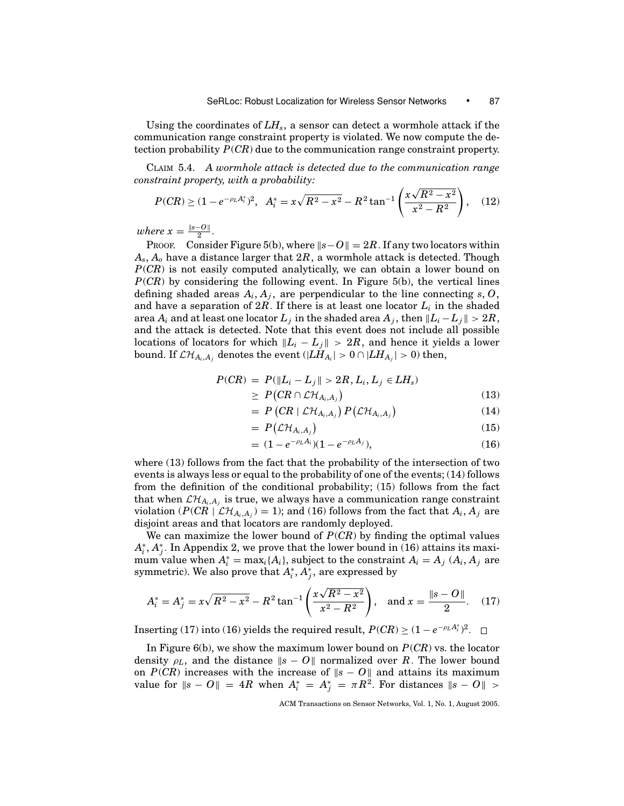Using the coordinates of  $LH_s$ , a sensor can detect a wormhole attack if the communication range constraint property is violated. We now compute the detection probability *P*(*CR*) due to the communication range constraint property.

CLAIM 5.4. *A wormhole attack is detected due to the communication range constraint property, with a probability:*

$$
P(CR) \ge (1 - e^{-\rho L A_i^*})^2, \quad A_i^* = x\sqrt{R^2 - x^2} - R^2 \tan^{-1} \left( \frac{x\sqrt{R^2 - x^2}}{x^2 - R^2} \right), \quad (12)
$$

 $where x = \frac{\|s-O\|}{2}.$ 

PROOF. Consider Figure 5(b), where  $||s - O|| = 2R$ . If any two locators within *As*, *Ao* have a distance larger that 2*R*, a wormhole attack is detected. Though *P*(*CR*) is not easily computed analytically, we can obtain a lower bound on *P*(*CR*) by considering the following event. In Figure 5(b), the vertical lines defining shaded areas  $A_i$ ,  $A_j$ , are perpendicular to the line connecting *s*, *O*, and have a separation of  $2R$ . If there is at least one locator  $L<sub>i</sub>$  in the shaded area  $A_i$  and at least one locator  $L_j$  in the shaded area  $A_j$ , then  $||L_i - L_j|| > 2R$ , and the attack is detected. Note that this event does not include all possible locations of locators for which  $\|L_i - L_j\| > 2R$ , and hence it yields a lower bound. If  $\mathcal{LH}_{A_i,A_j}$  denotes the event  $(|LH_{A_i}| > 0 \cap |LH_{A_j}| > 0)$  then,

$$
P(CR) = P(||L_i - L_j|| > 2R, L_i, L_j \in LH_s)
$$
  
\n
$$
\geq P(CR \cap \mathcal{LH}_{A_i, A_j})
$$
\n(13)

$$
= P\left(CR \mid \mathcal{L}\mathcal{H}_{A_i,A_j}\right) P\left(\mathcal{L}\mathcal{H}_{A_i,A_j}\right) \tag{14}
$$

$$
= P\left(\mathcal{L}\mathcal{H}_{A_i,A_j}\right) \tag{15}
$$

$$
= (1 - e^{-\rho_L A_i})(1 - e^{-\rho_L A_j}), \qquad (16)
$$

where (13) follows from the fact that the probability of the intersection of two events is always less or equal to the probability of one of the events; (14) follows from the definition of the conditional probability; (15) follows from the fact that when  $\mathcal{LH}_{A_i,A_j}$  is true, we always have a communication range constraint violation (*P*(*CR* | L<sup> $\mathcal{H}_{A_i, A_j}$ ) = 1); and (16) follows from the fact that  $A_i, A_j$  are</sup> disjoint areas and that locators are randomly deployed.

We can maximize the lower bound of  $P(CR)$  by finding the optimal values  $A_i^*$ ,  $A_j^*$ . In Appendix 2, we prove that the lower bound in (16) attains its maximum value when  $A_i^* = \max_i \{A_i\}$ , subject to the constraint  $A_i = A_j \; (A_i, A_j \; \text{are}$ symmetric). We also prove that  $A_i^*, A_j^*$ , are expressed by

$$
A_i^* = A_j^* = x\sqrt{R^2 - x^2} - R^2 \tan^{-1} \left( \frac{x\sqrt{R^2 - x^2}}{x^2 - R^2} \right), \text{ and } x = \frac{\|s - O\|}{2}.
$$
 (17)

Inserting (17) into (16) yields the required result,  $P(CR) \geq (1 - e^{-\rho_L A_i^*})^2$ .

In Figure 6(b), we show the maximum lower bound on *P*(*CR*) vs. the locator density  $\rho_L$ , and the distance  $\|s - O\|$  normalized over *R*. The lower bound on *P*(*CR*) increases with the increase of  $\|s - O\|$  and attains its maximum value for  $\|s - O\|$  = 4*R* when  $A_i^* = A_j^* = \pi R^2$ . For distances  $\|s - O\|$  >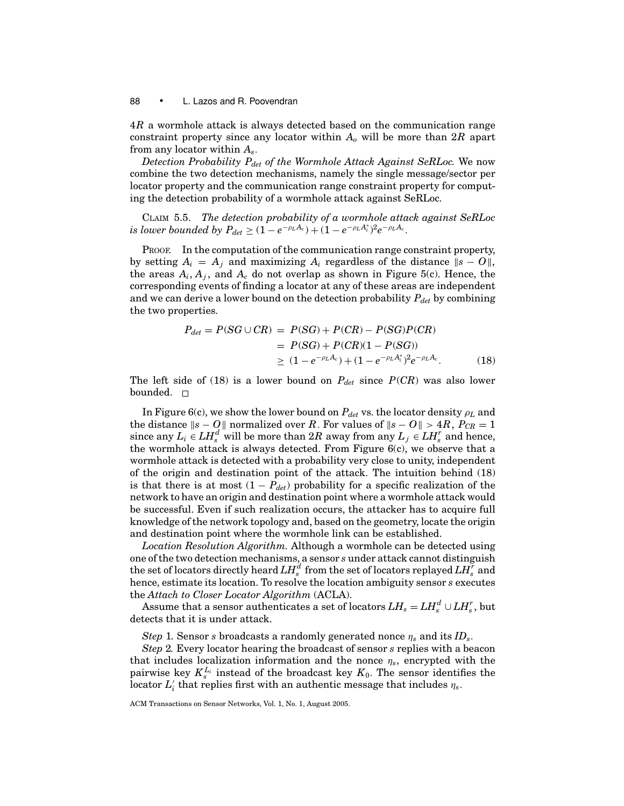4*R* a wormhole attack is always detected based on the communication range constraint property since any locator within  $A_0$  will be more than 2*R* apart from any locator within *As*.

*Detection Probability Pdet of the Wormhole Attack Against SeRLoc.* We now combine the two detection mechanisms, namely the single message/sector per locator property and the communication range constraint property for computing the detection probability of a wormhole attack against SeRLoc.

CLAIM 5.5. *The detection probability of a wormhole attack against SeRLoc*  $i$ *s lower bounded by*  $P_{det} \geq (1 - e^{-\rho_L A_c}) + (1 - e^{-\rho_L A_i^*})^2 e^{-\rho_L A_c}$ *.* 

PROOF. In the computation of the communication range constraint property, by setting  $A_i = A_j$  and maximizing  $A_i$  regardless of the distance  $||s - O||$ , the areas  $A_i$ ,  $A_j$ , and  $A_c$  do not overlap as shown in Figure 5(c). Hence, the corresponding events of finding a locator at any of these areas are independent and we can derive a lower bound on the detection probability  $P_{det}$  by combining the two properties.

$$
P_{det} = P(SG \cup CR) = P(SG) + P(CR) - P(SG)P(CR)
$$
  
=  $P(SG) + P(CR)(1 - P(SG))$   
 $\geq (1 - e^{-\rho_L A_c}) + (1 - e^{-\rho_L A_c^*})^2 e^{-\rho_L A_c}.$  (18)

The left side of (18) is a lower bound on  $P_{det}$  since  $P(CR)$  was also lower bounded. □

In Figure 6(c), we show the lower bound on  $P_{det}$  vs. the locator density  $\rho_L$  and the distance  $\|s - Q\|$  normalized over *R*. For values of  $\|s - O\| > 4R$ ,  $P_{CR} = 1$ since any  $L_i \in LH_s^d$  will be more than  $2R$  away from any  $L_j \in LH_s^r$  and hence, the wormhole attack is always detected. From Figure  $6(c)$ , we observe that a wormhole attack is detected with a probability very close to unity, independent of the origin and destination point of the attack. The intuition behind (18) is that there is at most  $(1 - P_{det})$  probability for a specific realization of the network to have an origin and destination point where a wormhole attack would be successful. Even if such realization occurs, the attacker has to acquire full knowledge of the network topology and, based on the geometry, locate the origin and destination point where the wormhole link can be established.

*Location Resolution Algorithm.* Although a wormhole can be detected using one of the two detection mechanisms, a sensor *s* under attack cannot distinguish the set of locators directly heard  $LH^d_s$  from the set of locators replayed  $LH^r_s$  and hence, estimate its location. To resolve the location ambiguity sensor *s* executes the *Attach to Closer Locator Algorithm* (ACLA).

 $\Lambda$ ssume that a sensor authenticates a set of locators  $LH_s = LH_s^d \cup LH_s^r,$  but detects that it is under attack.

*Step* 1. Sensor *s* broadcasts a randomly generated nonce  $\eta_s$  and its  $ID_s$ .

*Step* 2*.* Every locator hearing the broadcast of sensor *s* replies with a beacon that includes localization information and the nonce  $\eta_s$ , encrypted with the pairwise key  $K_s^{L_i}$  instead of the broadcast key  $K_0$ . The sensor identifies the  $\frac{1}{2}$  locator  $L'_i$  that replies first with an authentic message that includes  $\eta_s$ .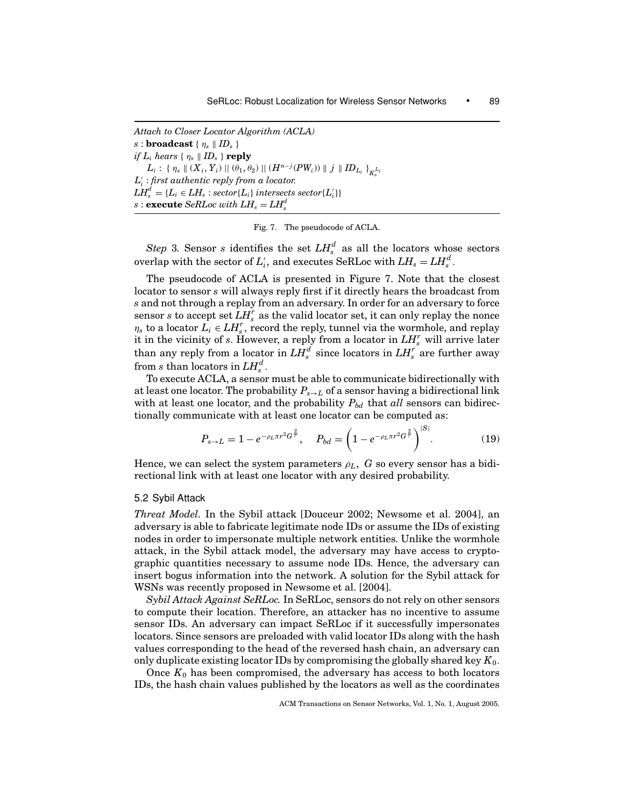*Attach to Closer Locator Algorithm (ACLA)*  $s:$ **broadcast** {  $\eta_s \parallel ID_s$  }  $if L<sub>i</sub>$  *hears* { $\eta_s \parallel ID_s$ } **reply**  $L_i$  : { $\eta_s \parallel (X_i, Y_i) \parallel (\theta_1, \theta_2) \parallel (H^{n-j}(PW_i)) \parallel j \parallel ID_{L_i} \}_{K_s^{L_i}}$ *L <sup>i</sup>* : *first authentic reply from a locator.*  $LH^d_s = \{L_i \in LH_s: sector\{L_i\}~intersects~sector\{L'_i\}\}$  $s:$  **execute**  $SeRLoc$  with  $LH_s = LH_s^d$ 

Fig. 7. The pseudocode of ACLA.

*Step* 3*.* Sensor *s* identifies the set  $LH_s^d$  as all the locators whose sectors  $\alpha$  overlap with the sector of  $L'_i$ , and executes SeRLoc with  $LH_s = LH_s^d$ .

The pseudocode of ACLA is presented in Figure 7. Note that the closest locator to sensor *s* will always reply first if it directly hears the broadcast from *s* and not through a replay from an adversary. In order for an adversary to force sensor  $s$  to accept set  $LH_s^r$  as the valid locator set, it can only replay the nonce  $\eta_s$  to a locator  $\overline{L}_i \in LH_s^r$ , record the reply, tunnel via the wormhole, and replay it in the vicinity of *s*. However, a reply from a locator in  $LH_s^r$  will arrive later than any reply from a locator in  $LH_s^d$  since locators in  $LH_s^r$  are further away  ${\rm from}\ s\ {\rm than}\ {\rm locations}\ {\rm in}\ L H^d_s$  .

To execute ACLA, a sensor must be able to communicate bidirectionally with at least one locator. The probability  $P_{s\to L}$  of a sensor having a bidirectional link with at least one locator, and the probability  $P_{bd}$  that *all* sensors can bidirectionally communicate with at least one locator can be computed as:

$$
P_{s \to L} = 1 - e^{-\rho_L \pi r^2 G^{\frac{2}{\gamma}}}, \quad P_{bd} = \left(1 - e^{-\rho_L \pi r^2 G^{\frac{2}{\gamma}}}\right)^{|S|}.
$$
 (19)

Hence, we can select the system parameters  $\rho_L$ ,  $G$  so every sensor has a bidirectional link with at least one locator with any desired probability.

# 5.2 Sybil Attack

*Threat Model.* In the Sybil attack [Douceur 2002; Newsome et al. 2004], an adversary is able to fabricate legitimate node IDs or assume the IDs of existing nodes in order to impersonate multiple network entities. Unlike the wormhole attack, in the Sybil attack model, the adversary may have access to cryptographic quantities necessary to assume node IDs. Hence, the adversary can insert bogus information into the network. A solution for the Sybil attack for WSNs was recently proposed in Newsome et al. [2004].

*Sybil Attack Against SeRLoc.* In SeRLoc, sensors do not rely on other sensors to compute their location. Therefore, an attacker has no incentive to assume sensor IDs. An adversary can impact SeRLoc if it successfully impersonates locators. Since sensors are preloaded with valid locator IDs along with the hash values corresponding to the head of the reversed hash chain, an adversary can only duplicate existing locator IDs by compromising the globally shared key *K*0.

Once  $K_0$  has been compromised, the adversary has access to both locators IDs, the hash chain values published by the locators as well as the coordinates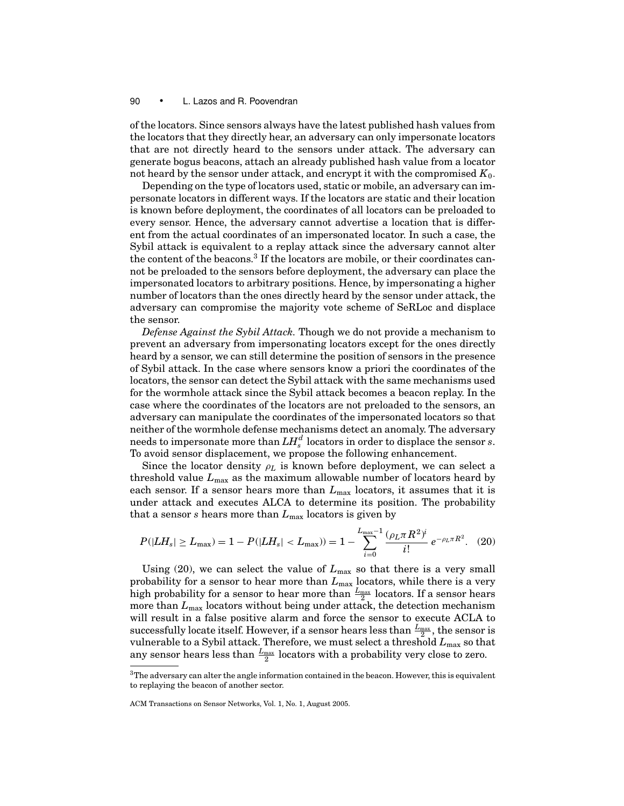of the locators. Since sensors always have the latest published hash values from the locators that they directly hear, an adversary can only impersonate locators that are not directly heard to the sensors under attack. The adversary can generate bogus beacons, attach an already published hash value from a locator not heard by the sensor under attack, and encrypt it with the compromised *K*0.

Depending on the type of locators used, static or mobile, an adversary can impersonate locators in different ways. If the locators are static and their location is known before deployment, the coordinates of all locators can be preloaded to every sensor. Hence, the adversary cannot advertise a location that is different from the actual coordinates of an impersonated locator. In such a case, the Sybil attack is equivalent to a replay attack since the adversary cannot alter the content of the beacons.3 If the locators are mobile, or their coordinates cannot be preloaded to the sensors before deployment, the adversary can place the impersonated locators to arbitrary positions. Hence, by impersonating a higher number of locators than the ones directly heard by the sensor under attack, the adversary can compromise the majority vote scheme of SeRLoc and displace the sensor.

*Defense Against the Sybil Attack.* Though we do not provide a mechanism to prevent an adversary from impersonating locators except for the ones directly heard by a sensor, we can still determine the position of sensors in the presence of Sybil attack. In the case where sensors know a priori the coordinates of the locators, the sensor can detect the Sybil attack with the same mechanisms used for the wormhole attack since the Sybil attack becomes a beacon replay. In the case where the coordinates of the locators are not preloaded to the sensors, an adversary can manipulate the coordinates of the impersonated locators so that neither of the wormhole defense mechanisms detect an anomaly. The adversary needs to impersonate more than  $LH_s^d$  locators in order to displace the sensor  $s.$ To avoid sensor displacement, we propose the following enhancement.

Since the locator density  $\rho_L$  is known before deployment, we can select a threshold value *L*max as the maximum allowable number of locators heard by each sensor. If a sensor hears more than  $L_{\text{max}}$  locators, it assumes that it is under attack and executes ALCA to determine its position. The probability that a sensor  $s$  hears more than  $L_{\text{max}}$  locators is given by

$$
P(|LH_s| \ge L_{\text{max}}) = 1 - P(|LH_s| < L_{\text{max}}) = 1 - \sum_{i=0}^{L_{\text{max}}-1} \frac{(\rho_L \pi R^2)^i}{i!} e^{-\rho_L \pi R^2}. \tag{20}
$$

Using (20), we can select the value of  $L_{\text{max}}$  so that there is a very small probability for a sensor to hear more than  $L_{\text{max}}$  locators, while there is a very high probability for a sensor to hear more than  $\frac{L_{\text{max}}}{2}$  locators. If a sensor hears more than  $L_{\text{max}}$  locators without being under attack, the detection mechanism will result in a false positive alarm and force the sensor to execute ACLA to successfully locate itself. However, if a sensor hears less than  $\frac{L_{\text{max}}}{2}$ , the sensor is vulnerable to a Sybil attack. Therefore, we must select a threshold *L*max so that any sensor hears less than  $\frac{L_{\text{max}}}{2}$  locators with a probability very close to zero.

<sup>&</sup>lt;sup>3</sup>The adversary can alter the angle information contained in the beacon. However, this is equivalent to replaying the beacon of another sector.

ACM Transactions on Sensor Networks, Vol. 1, No. 1, August 2005.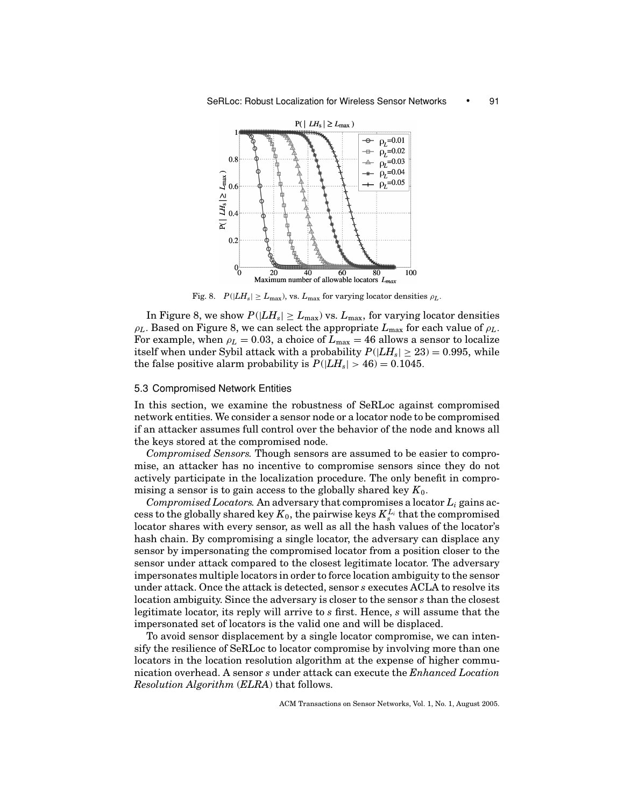

Fig. 8.  $P(|LH_s| \ge L_{\text{max}})$ , vs.  $L_{\text{max}}$  for varying locator densities  $\rho_L$ .

In Figure 8, we show  $P(|LH_s| \ge L_{\text{max}})$  vs.  $L_{\text{max}}$ , for varying locator densities  $\rho_L$ . Based on Figure 8, we can select the appropriate  $L_{\text{max}}$  for each value of  $\rho_L$ . For example, when  $\rho_L = 0.03$ , a choice of  $L_{\text{max}} = 46$  allows a sensor to localize itself when under Sybil attack with a probability  $P(|LH_s| \geq 23) = 0.995$ , while the false positive alarm probability is  $P(|LH_s| > 46) = 0.1045$ .

#### 5.3 Compromised Network Entities

In this section, we examine the robustness of SeRLoc against compromised network entities. We consider a sensor node or a locator node to be compromised if an attacker assumes full control over the behavior of the node and knows all the keys stored at the compromised node.

*Compromised Sensors.* Though sensors are assumed to be easier to compromise, an attacker has no incentive to compromise sensors since they do not actively participate in the localization procedure. The only benefit in compromising a sensor is to gain access to the globally shared key  $K_0$ .

*Compromised Locators.* An adversary that compromises a locator *Li* gains ac- $\cos$  to the globally shared key  $K_0$ , the pairwise keys  $K_s^{L_i}$  that the compromised locator shares with every sensor, as well as all the hash values of the locator's hash chain. By compromising a single locator, the adversary can displace any sensor by impersonating the compromised locator from a position closer to the sensor under attack compared to the closest legitimate locator. The adversary impersonates multiple locators in order to force location ambiguity to the sensor under attack. Once the attack is detected, sensor *s* executes ACLA to resolve its location ambiguity. Since the adversary is closer to the sensor *s* than the closest legitimate locator, its reply will arrive to *s* first. Hence, *s* will assume that the impersonated set of locators is the valid one and will be displaced.

To avoid sensor displacement by a single locator compromise, we can intensify the resilience of SeRLoc to locator compromise by involving more than one locators in the location resolution algorithm at the expense of higher communication overhead. A sensor *s* under attack can execute the *Enhanced Location Resolution Algorithm* (*ELRA*) that follows.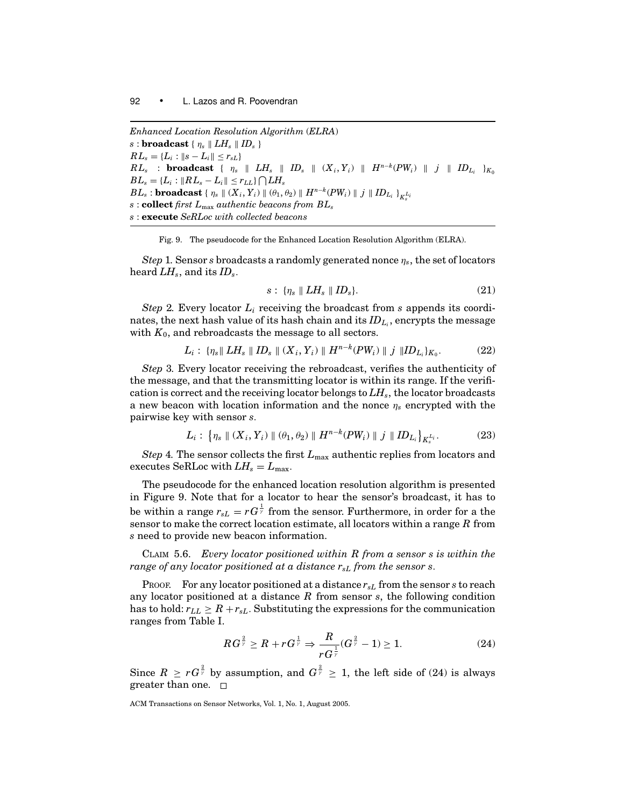*Enhanced Location Resolution Algorithm* (*ELRA*)  $s:$ **broadcast** { $\eta_s \parallel LH_s \parallel ID_s$  }  $RL_s = \{L_i : ||s - L_i|| \leq r_{sL}\}$  $RL_s$  : **broadcast** {  $\eta_s$  ||  $LH_s$  ||  $ID_s$  ||  $(X_i, Y_i)$  ||  $H^{n-k}(PW_i)$  ||  $j$  ||  $ID_{L_i}$  } $_{K_0}$  $BL_s = \{L_i : \|RL_s - L_i\| \leq r_{LL}\} \bigcap LH_s$  $BL_s$  : **broadcast** {  $\eta_s \parallel (X_i, Y_i) \parallel (\theta_1, \theta_2) \parallel H^{n-k}(PW_i) \parallel j \parallel ID_{L_i} \brace_{K_s^{L_i}}$ *s* : **collect** *first L*max *authentic beacons from BLs s* : **execute** *SeRLoc with collected beacons*

Fig. 9. The pseudocode for the Enhanced Location Resolution Algorithm (ELRA).

*Step* 1*.* Sensor *s* broadcasts a randomly generated nonce η*s*, the set of locators heard *LHs*, and its *IDs*.

$$
s: \{\eta_s \parallel LH_s \parallel ID_s\}.
$$

*Step* 2*.* Every locator *Li* receiving the broadcast from *s* appends its coordinates, the next hash value of its hash chain and its  $ID_{L_i}$ , encrypts the message with  $K_0$ , and rebroadcasts the message to all sectors.

$$
L_i: \{\eta_s \| LH_s \| ID_s \| (X_i, Y_i) \| H^{n-k}(PW_i) \| j \| ID_{L_i} \}_{K_0}.
$$
 (22)

*Step* 3*.* Every locator receiving the rebroadcast, verifies the authenticity of the message, and that the transmitting locator is within its range. If the verification is correct and the receiving locator belongs to *LHs*, the locator broadcasts a new beacon with location information and the nonce η*<sup>s</sup>* encrypted with the pairwise key with sensor *s*.

$$
L_i: \{\eta_s \parallel (X_i, Y_i) \parallel (\theta_1, \theta_2) \parallel H^{n-k}(PW_i) \parallel j \parallel ID_{L_i}\}_{K_s^{L_i}}.
$$
 (23)

*Step* 4*.* The sensor collects the first *L*max authentic replies from locators and executes SeRLoc with  $LH_s = L_{\text{max}}$ .

The pseudocode for the enhanced location resolution algorithm is presented in Figure 9. Note that for a locator to hear the sensor's broadcast, it has to be within a range  $r_{sL} = rG^{\frac{1}{\gamma}}$  from the sensor. Furthermore, in order for a the sensor to make the correct location estimate, all locators within a range *R* from *s* need to provide new beacon information.

CLAIM 5.6. *Every locator positioned within R from a sensor s is within the range of any locator positioned at a distance rsL from the sensor s*.

PROOF. For any locator positioned at a distance  $r_{sL}$  from the sensor *s* to reach any locator positioned at a distance *R* from sensor *s*, the following condition has to hold:  $r_{LL} \geq R + r_{sL}$ . Substituting the expressions for the communication ranges from Table I.

$$
RG^{\frac{2}{\gamma}} \ge R + rG^{\frac{1}{\gamma}} \Rightarrow \frac{R}{rG^{\frac{1}{\gamma}}} (G^{\frac{2}{\gamma}} - 1) \ge 1.
$$
 (24)

Since  $R \geq rG^{\frac{2}{\gamma}}$  by assumption, and  $G^{\frac{2}{\gamma}} \geq 1$ , the left side of (24) is always greater than one.  $\square$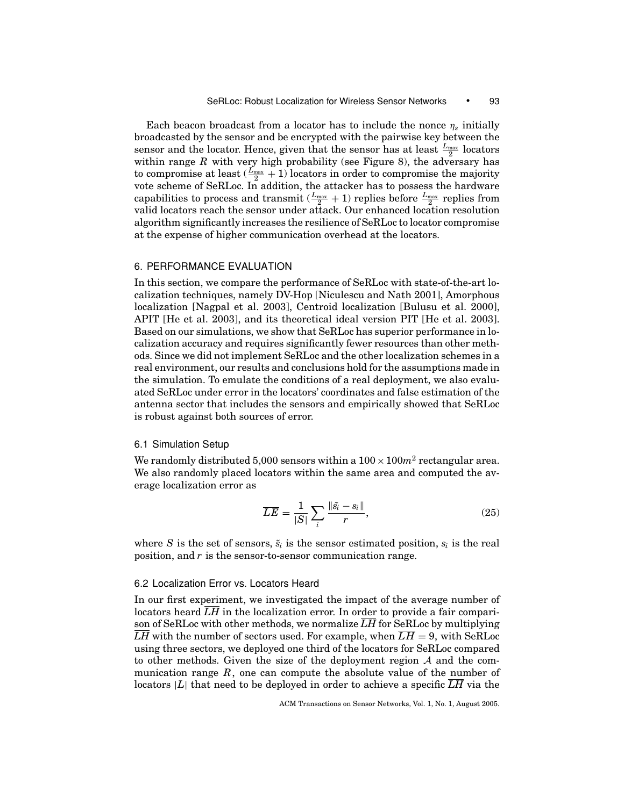Each beacon broadcast from a locator has to include the nonce  $\eta_s$  initially broadcasted by the sensor and be encrypted with the pairwise key between the sensor and the locator. Hence, given that the sensor has at least  $\frac{L_{\text{max}}}{2}$  locators within range *R* with very high probability (see Figure 8), the adversary has to compromise at least  $(\frac{L_{\text{max}}}{2} + 1)$  locators in order to compromise the majority vote scheme of SeRLoc. In addition, the attacker has to possess the hardware capabilities to process and transmit  $(\frac{L_{\text{max}}}{2} + 1)$  replies before  $\frac{L_{\text{max}}}{2}$  replies from valid locators reach the sensor under attack. Our enhanced location resolution algorithm significantly increases the resilience of SeRLoc to locator compromise at the expense of higher communication overhead at the locators.

## 6. PERFORMANCE EVALUATION

In this section, we compare the performance of SeRLoc with state-of-the-art localization techniques, namely DV-Hop [Niculescu and Nath 2001], Amorphous localization [Nagpal et al. 2003], Centroid localization [Bulusu et al. 2000], APIT [He et al. 2003], and its theoretical ideal version PIT [He et al. 2003]. Based on our simulations, we show that SeRLoc has superior performance in localization accuracy and requires significantly fewer resources than other methods. Since we did not implement SeRLoc and the other localization schemes in a real environment, our results and conclusions hold for the assumptions made in the simulation. To emulate the conditions of a real deployment, we also evaluated SeRLoc under error in the locators' coordinates and false estimation of the antenna sector that includes the sensors and empirically showed that SeRLoc is robust against both sources of error.

## 6.1 Simulation Setup

We randomly distributed 5,000 sensors within a  $100 \times 100m^2$  rectangular area. We also randomly placed locators within the same area and computed the average localization error as

$$
\overline{LE} = \frac{1}{|S|} \sum_{i} \frac{\|\tilde{s_i} - s_i\|}{r},\tag{25}
$$

where *S* is the set of sensors,  $\tilde{s}_i$  is the sensor estimated position,  $s_i$  is the real position, and *r* is the sensor-to-sensor communication range.

#### 6.2 Localization Error vs. Locators Heard

In our first experiment, we investigated the impact of the average number of locators heard *LH* in the localization error. In order to provide a fair comparison of SeRLoc with other methods, we normalize *LH* for SeRLoc by multiplying *LH* with the number of sectors used. For example, when  $\overline{LH} = 9$ , with SeRLoc using three sectors, we deployed one third of the locators for SeRLoc compared to other methods. Given the size of the deployment region  $A$  and the communication range *R*, one can compute the absolute value of the number of locators |*L*| that need to be deployed in order to achieve a specific *LH* via the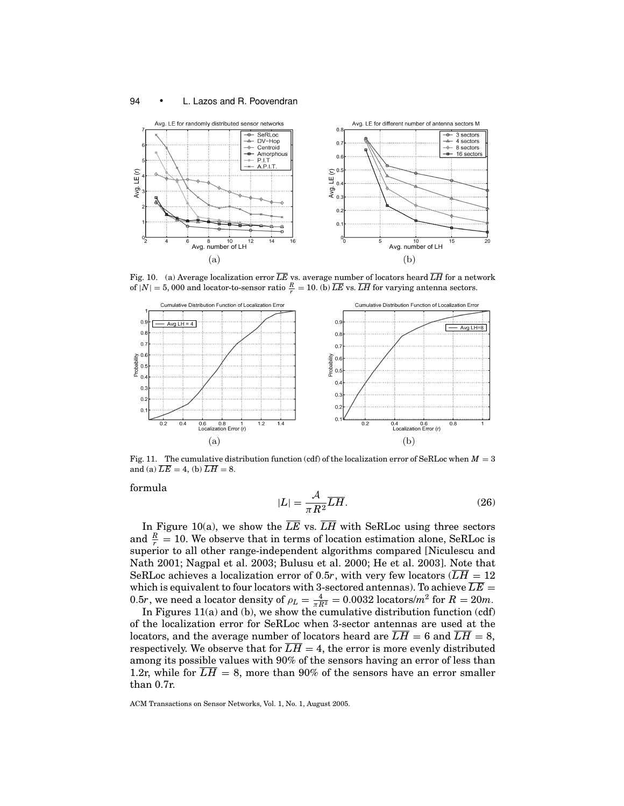

Fig. 10. (a) Average localization error *LE* vs. average number of locators heard *LH* for a network of  $|N| = 5$ , 000 and locator-to-sensor ratio  $\frac{R}{r} = 10$ . (b)  $\overline{LE}$  vs.  $\overline{LH}$  for varying antenna sectors.



Fig. 11. The cumulative distribution function (cdf) of the localization error of SeRLoc when  $M = 3$ and (a)  $\overline{LE} = 4$ , (b)  $\overline{LH} = 8$ .

formula

$$
|L| = \frac{A}{\pi R^2} \overline{LH}.
$$
\n(26)

In Figure 10(a), we show the  $\overline{LE}$  vs.  $\overline{LH}$  with SeRLoc using three sectors and  $\frac{R}{r} = 10$ . We observe that in terms of location estimation alone, SeRLoc is superior to all other range-independent algorithms compared [Niculescu and Nath 2001; Nagpal et al. 2003; Bulusu et al. 2000; He et al. 2003]. Note that SeRLoc achieves a localization error of 0.5*r*, with very few locators  $(\overline{LH} = 12)$ which is equivalent to four locators with 3-sectored antennas). To achieve  $\overline{LE}$  = 0.5*r*, we need a locator density of  $\rho_L = \frac{4}{\pi R^2} = 0.0032$  locators/ $m^2$  for  $R = 20m$ .

In Figures 11(a) and (b), we show the cumulative distribution function (cdf) of the localization error for SeRLoc when 3-sector antennas are used at the locators, and the average number of locators heard are  $\overline{LH} = 6$  and  $\overline{LH} = 8$ , respectively. We observe that for  $\overline{LH} = 4$ , the error is more evenly distributed among its possible values with 90% of the sensors having an error of less than 1.2r, while for  $\overline{LH} = 8$ , more than 90% of the sensors have an error smaller than 0.7r.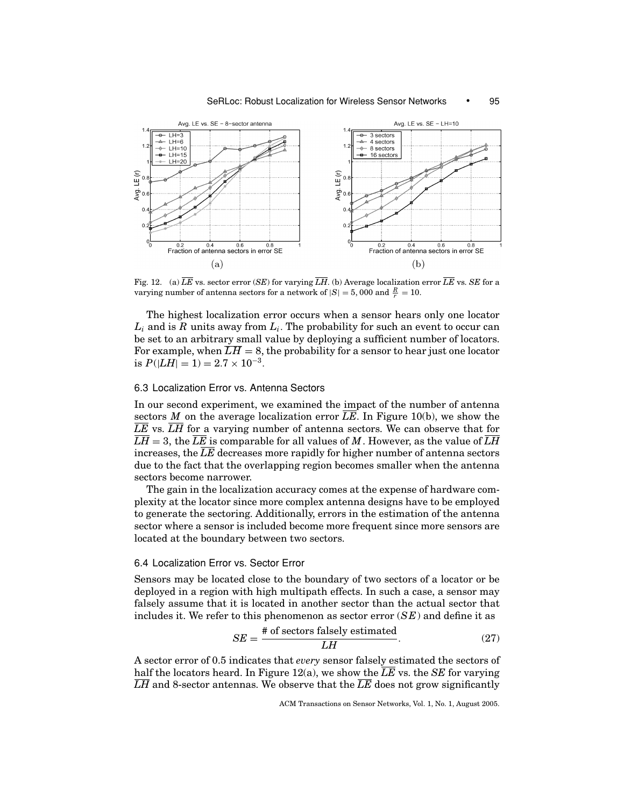

Fig. 12. (a)  $\overline{LE}$  vs. sector error  $(SE)$  for varying  $\overline{LH}$ . (b) Average localization error  $\overline{LE}$  vs. *SE* for a varying number of antenna sectors for a network of  $|S| = 5$ , 000 and  $\frac{R}{r} = 10$ .

The highest localization error occurs when a sensor hears only one locator  $L_i$  and is  $R$  units away from  $L_i$ . The probability for such an event to occur can be set to an arbitrary small value by deploying a sufficient number of locators. For example, when  $\overline{LH} = 8$ , the probability for a sensor to hear just one locator is  $P(|LH| = 1) = 2.7 \times 10^{-3}$ .

# 6.3 Localization Error vs. Antenna Sectors

In our second experiment, we examined the impact of the number of antenna sectors *M* on the average localization error *LE*. In Figure 10(b), we show the *LE* vs. *LH* for a varying number of antenna sectors. We can observe that for *LH* = 3, the *LE* is comparable for all values of *M*. However, as the value of *LH* increases, the  $\overline{LE}$  decreases more rapidly for higher number of antenna sectors due to the fact that the overlapping region becomes smaller when the antenna sectors become narrower.

The gain in the localization accuracy comes at the expense of hardware complexity at the locator since more complex antenna designs have to be employed to generate the sectoring. Additionally, errors in the estimation of the antenna sector where a sensor is included become more frequent since more sensors are located at the boundary between two sectors.

#### 6.4 Localization Error vs. Sector Error

Sensors may be located close to the boundary of two sectors of a locator or be deployed in a region with high multipath effects. In such a case, a sensor may falsely assume that it is located in another sector than the actual sector that includes it. We refer to this phenomenon as sector error (*SE*) and define it as

$$
SE = \frac{\text{\# of sectors falsely estimated}}{LH}.
$$
 (27)

A sector error of 0.5 indicates that *every* sensor falsely estimated the sectors of half the locators heard. In Figure 12(a), we show the  $\overline{LE}$  vs. the *SE* for varying *LH* and 8-sector antennas. We observe that the *LE* does not grow significantly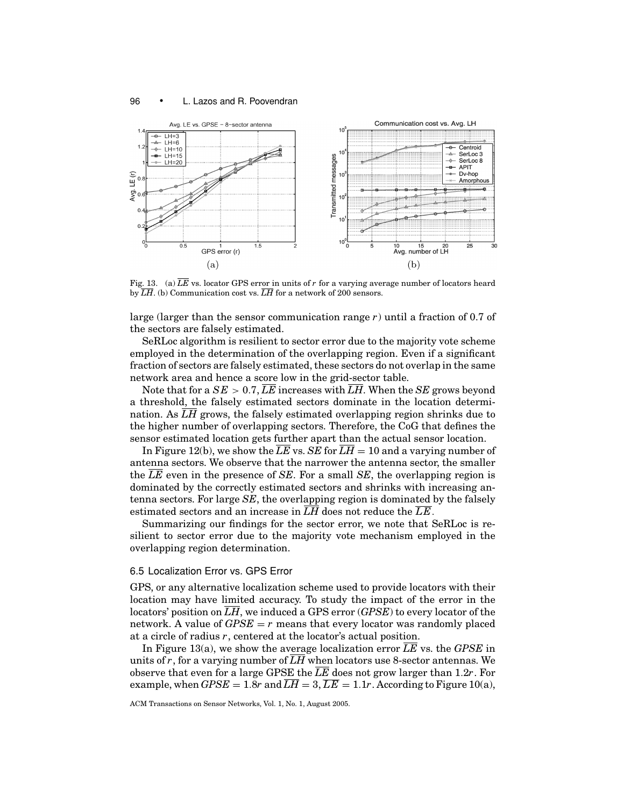

Fig. 13. (a)  $\overline{LE}$  vs. locator GPS error in units of *r* for a varying average number of locators heard by  $\overline{LH}$ . (b) Communication cost vs.  $\overline{LH}$  for a network of 200 sensors.

large (larger than the sensor communication range *r*) until a fraction of 0.7 of the sectors are falsely estimated.

SeRLoc algorithm is resilient to sector error due to the majority vote scheme employed in the determination of the overlapping region. Even if a significant fraction of sectors are falsely estimated, these sectors do not overlap in the same network area and hence a score low in the grid-sector table.

Note that for a *SE* > 0.7, *LE* increases with *LH*. When the *SE* grows beyond a threshold, the falsely estimated sectors dominate in the location determination. As *LH* grows, the falsely estimated overlapping region shrinks due to the higher number of overlapping sectors. Therefore, the CoG that defines the sensor estimated location gets further apart than the actual sensor location.

In Figure 12(b), we show the *LE* vs. *SE* for *LH* = 10 and a varying number of antenna sectors. We observe that the narrower the antenna sector, the smaller the *LE* even in the presence of *SE*. For a small *SE*, the overlapping region is dominated by the correctly estimated sectors and shrinks with increasing antenna sectors. For large *SE*, the overlapping region is dominated by the falsely estimated sectors and an increase in *LH* does not reduce the *LE*.

Summarizing our findings for the sector error, we note that SeRLoc is resilient to sector error due to the majority vote mechanism employed in the overlapping region determination.

#### 6.5 Localization Error vs. GPS Error

GPS, or any alternative localization scheme used to provide locators with their location may have limited accuracy. To study the impact of the error in the locators' position on *LH*, we induced a GPS error (*GPSE*) to every locator of the network. A value of  $GPSE = r$  means that every locator was randomly placed at a circle of radius *r*, centered at the locator's actual position.

In Figure 13(a), we show the average localization error  $\overline{LE}$  vs. the *GPSE* in units of *r*, for a varying number of *LH* when locators use 8-sector antennas. We observe that even for a large GPSE the  $\overline{LE}$  does not grow larger than 1.2*r*. For example, when  $GPSE = 1.8r$  and  $LH = 3$ ,  $LE = 1.1r$ . According to Figure 10(a),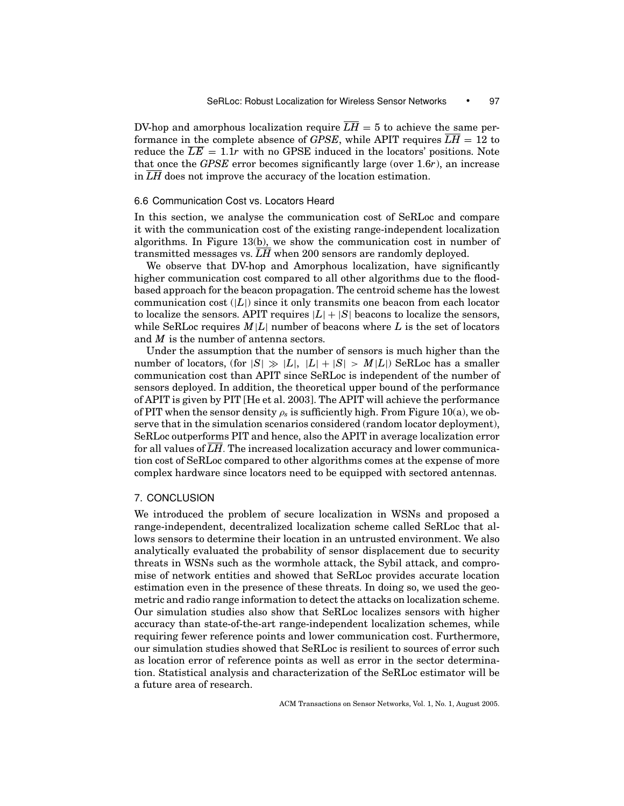DV-hop and amorphous localization require  $LH = 5$  to achieve the same performance in the complete absence of *GPSE*, while APIT requires  $\overline{LH} = 12$  to reduce the  $\overline{LE} = 1.1r$  with no GPSE induced in the locators' positions. Note that once the *GPSE* error becomes significantly large (over 1.6*r*), an increase in *LH* does not improve the accuracy of the location estimation.

## 6.6 Communication Cost vs. Locators Heard

In this section, we analyse the communication cost of SeRLoc and compare it with the communication cost of the existing range-independent localization algorithms. In Figure 13(b), we show the communication cost in number of transmitted messages vs. *LH* when 200 sensors are randomly deployed.

We observe that DV-hop and Amorphous localization, have significantly higher communication cost compared to all other algorithms due to the floodbased approach for the beacon propagation. The centroid scheme has the lowest communication cost  $(|L|)$  since it only transmits one beacon from each locator to localize the sensors. APIT requires  $|L|+|S|$  beacons to localize the sensors, while SeRLoc requires  $M|L|$  number of beacons where L is the set of locators and *M* is the number of antenna sectors.

Under the assumption that the number of sensors is much higher than the number of locators, (for  $|S| \gg |L|$ ,  $|L| + |S| > M|L|$ ) SeRLoc has a smaller communication cost than APIT since SeRLoc is independent of the number of sensors deployed. In addition, the theoretical upper bound of the performance of APIT is given by PIT [He et al. 2003]. The APIT will achieve the performance of PIT when the sensor density  $\rho_s$  is sufficiently high. From Figure 10(a), we observe that in the simulation scenarios considered (random locator deployment), SeRLoc outperforms PIT and hence, also the APIT in average localization error for all values of *LH*. The increased localization accuracy and lower communication cost of SeRLoc compared to other algorithms comes at the expense of more complex hardware since locators need to be equipped with sectored antennas.

# 7. CONCLUSION

We introduced the problem of secure localization in WSNs and proposed a range-independent, decentralized localization scheme called SeRLoc that allows sensors to determine their location in an untrusted environment. We also analytically evaluated the probability of sensor displacement due to security threats in WSNs such as the wormhole attack, the Sybil attack, and compromise of network entities and showed that SeRLoc provides accurate location estimation even in the presence of these threats. In doing so, we used the geometric and radio range information to detect the attacks on localization scheme. Our simulation studies also show that SeRLoc localizes sensors with higher accuracy than state-of-the-art range-independent localization schemes, while requiring fewer reference points and lower communication cost. Furthermore, our simulation studies showed that SeRLoc is resilient to sources of error such as location error of reference points as well as error in the sector determination. Statistical analysis and characterization of the SeRLoc estimator will be a future area of research.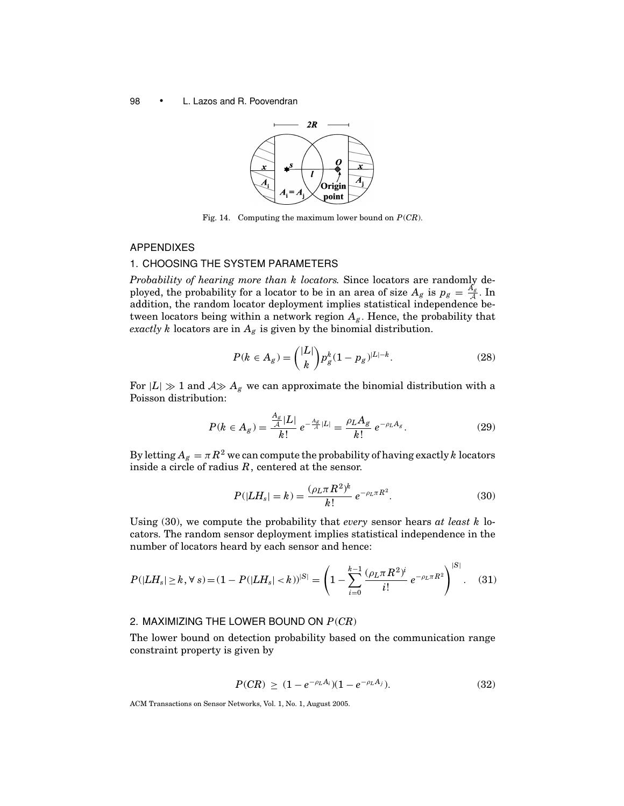

Fig. 14. Computing the maximum lower bound on *P*(*CR*).

## APPENDIXES

# 1. CHOOSING THE SYSTEM PARAMETERS

*Probability of hearing more than k locators.* Since locators are randomly deployed, the probability for a locator to be in an area of size  $A_g$  is  $p_g = \frac{A_g}{A}$ . In addition, the random locator deployment implies statistical independence between locators being within a network region  $A_g$ . Hence, the probability that *exactly k* locators are in  $A_g$  is given by the binomial distribution.

$$
P(k \in A_g) = \binom{|L|}{k} p_g^k (1 - p_g)^{|L| - k}.
$$
 (28)

For  $|L| \gg 1$  and  $A \gg A_g$  we can approximate the binomial distribution with a Poisson distribution:

$$
P(k \in A_g) = \frac{\frac{A_g}{A} |L|}{k!} e^{-\frac{A_g}{A} |L|} = \frac{\rho_L A_g}{k!} e^{-\rho_L A_g}.
$$
 (29)

By letting  $A_g = \pi R^2$  we can compute the probability of having exactly *k* locators inside a circle of radius *R*, centered at the sensor.

$$
P(|LH_s| = k) = \frac{(\rho_L \pi R^2)^k}{k!} e^{-\rho_L \pi R^2}.
$$
 (30)

Using (30), we compute the probability that *every* sensor hears *at least k* locators. The random sensor deployment implies statistical independence in the number of locators heard by each sensor and hence:

$$
P(|LH_s| \ge k, \forall s) = (1 - P(|LH_s| < k))^{|S|} = \left(1 - \sum_{i=0}^{k-1} \frac{(\rho_L \pi R^2)^i}{i!} e^{-\rho_L \pi R^2}\right)^{|S|}.\tag{31}
$$

## 2. MAXIMIZING THE LOWER BOUND ON *P*(*CR*)

The lower bound on detection probability based on the communication range constraint property is given by

$$
P(CR) \ge (1 - e^{-\rho_L A_i})(1 - e^{-\rho_L A_j}). \tag{32}
$$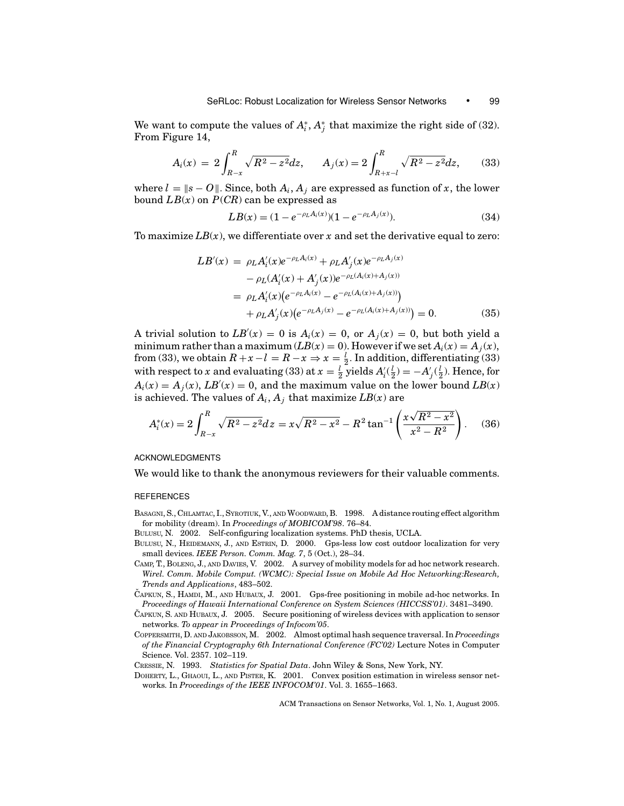We want to compute the values of  $A_i^*$ ,  $A_j^*$  that maximize the right side of (32). From Figure 14,

$$
A_i(x) = 2 \int_{R-x}^{R} \sqrt{R^2 - z^2} dz, \qquad A_j(x) = 2 \int_{R+x-l}^{R} \sqrt{R^2 - z^2} dz, \qquad (33)
$$

where  $l = |s - O|$ . Since, both  $A_i$ ,  $A_j$  are expressed as function of x, the lower bound  $LB(x)$  on  $P(CR)$  can be expressed as

$$
LB(x) = (1 - e^{-\rho_L A_i(x)})(1 - e^{-\rho_L A_j(x)}).
$$
\n(34)

To maximize  $LB(x)$ , we differentiate over x and set the derivative equal to zero:

$$
LB'(x) = \rho_L A'_i(x)e^{-\rho_L A_i(x)} + \rho_L A'_j(x)e^{-\rho_L A_j(x)}
$$
  
\n
$$
- \rho_L (A'_i(x) + A'_j(x))e^{-\rho_L(A_i(x) + A_j(x))}
$$
  
\n
$$
= \rho_L A'_i(x)(e^{-\rho_L A_i(x)} - e^{-\rho_L(A_i(x) + A_j(x))})
$$
  
\n
$$
+ \rho_L A'_j(x)(e^{-\rho_L A_j(x)} - e^{-\rho_L(A_i(x) + A_j(x))}) = 0.
$$
 (35)

A trivial solution to  $LB'(x) = 0$  is  $A_i(x) = 0$ , or  $A_j(x) = 0$ , but both yield a minimum rather than a maximum  $(LB(x) = 0)$ . However if we set  $A_i(x) = A_j(x)$ , from (33), we obtain  $R + x - l = R - x \Rightarrow x = \frac{l}{2}$ . In addition, differentiating (33) with respect to *x* and evaluating (33) at  $x = \frac{l}{2}$  yields  $A'_i(\frac{l}{2}) = -A'_j(\frac{l}{2})$ . Hence, for  $A_i(x) = A_j(x), LB'(x) = 0$ , and the maximum value on the lower bound  $LB(x)$ is achieved. The values of  $A_i$ ,  $A_j$  that maximize  $LB(x)$  are

$$
A_i^*(x) = 2 \int_{R-x}^R \sqrt{R^2 - z^2} dz = x\sqrt{R^2 - x^2} - R^2 \tan^{-1} \left( \frac{x\sqrt{R^2 - x^2}}{x^2 - R^2} \right).
$$
 (36)

#### ACKNOWLEDGMENTS

We would like to thank the anonymous reviewers for their valuable comments.

#### **REFERENCES**

BASAGNI, S., CHLAMTAC, I., SYROTIUK, V., AND WOODWARD, B. 1998. A distance routing effect algorithm for mobility (dream). In *Proceedings of MOBICOM'98*. 76–84.

- BULUSU, N. 2002. Self-configuring localization systems. PhD thesis, UCLA.
- BULUSU, N., HEIDEMANN, J., AND ESTRIN, D. 2000. Gps-less low cost outdoor localization for very small devices. *IEEE Person. Comm. Mag. 7*, 5 (Oct.), 28–34.
- CAMP, T., BOLENG, J., AND DAVIES, V. 2002. A survey of mobility models for ad hoc network research. *Wirel. Comm. Mobile Comput. (WCMC): Special Issue on Mobile Ad Hoc Networking:Research, Trends and Applications*, 483–502.
- C˘ APKUN, S., HAMDI, M., AND HUBAUX, J. 2001. Gps-free positioning in mobile ad-hoc networks. In *Proceedings of Hawaii International Conference on System Sciences (HICCSS'01)*. 3481–3490.
- C˘ APKUN, S. AND HUBAUX, J. 2005. Secure positioning of wireless devices with application to sensor networks. *To appear in Proceedings of Infocom'05*.
- COPPERSMITH, D. AND JAKOBSSON, M. 2002. Almost optimal hash sequence traversal. In *Proceedings of the Financial Cryptography 6th International Conference (FC'02)* Lecture Notes in Computer Science. Vol. 2357. 102–119.
- CRESSIE, N. 1993. *Statistics for Spatial Data*. John Wiley & Sons, New York, NY.
- DOHERTY, L., GHAOUI, L., AND PISTER, K. 2001. Convex position estimation in wireless sensor networks. In *Proceedings of the IEEE INFOCOM'01*. Vol. 3. 1655–1663.